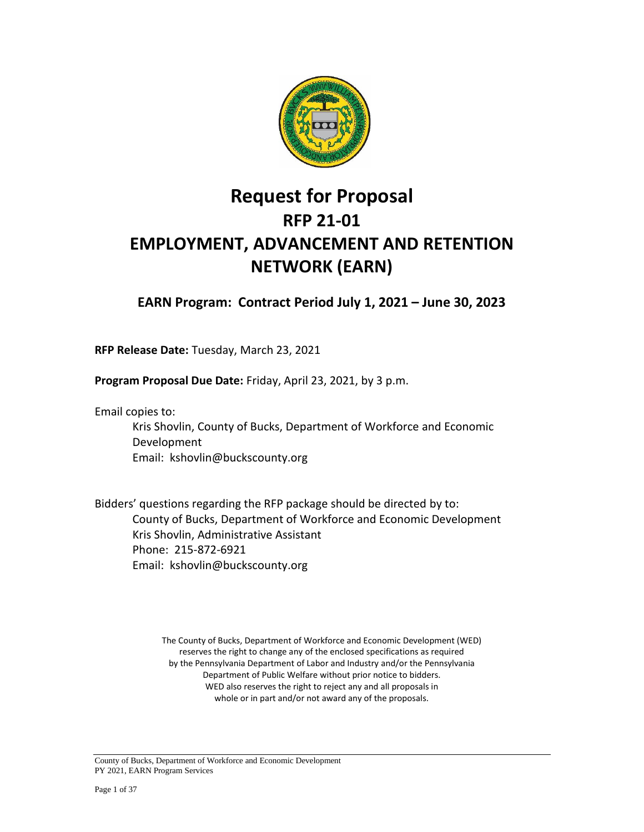

# **Request for Proposal RFP 21-01 EMPLOYMENT, ADVANCEMENT AND RETENTION NETWORK (EARN)**

**EARN Program: Contract Period July 1, 2021 – June 30, 2023**

**RFP Release Date:** Tuesday, March 23, 2021

**Program Proposal Due Date:** Friday, April 23, 2021, by 3 p.m.

Email copies to:

Kris Shovlin, County of Bucks, Department of Workforce and Economic Development Email: kshovlin@buckscounty.org

Bidders' questions regarding the RFP package should be directed by to: County of Bucks, Department of Workforce and Economic Development Kris Shovlin, Administrative Assistant Phone: 215-872-6921 Email: kshovlin@buckscounty.org

> The County of Bucks, Department of Workforce and Economic Development (WED) reserves the right to change any of the enclosed specifications as required by the Pennsylvania Department of Labor and Industry and/or the Pennsylvania Department of Public Welfare without prior notice to bidders. WED also reserves the right to reject any and all proposals in whole or in part and/or not award any of the proposals.

County of Bucks, Department of Workforce and Economic Development PY 2021, EARN Program Services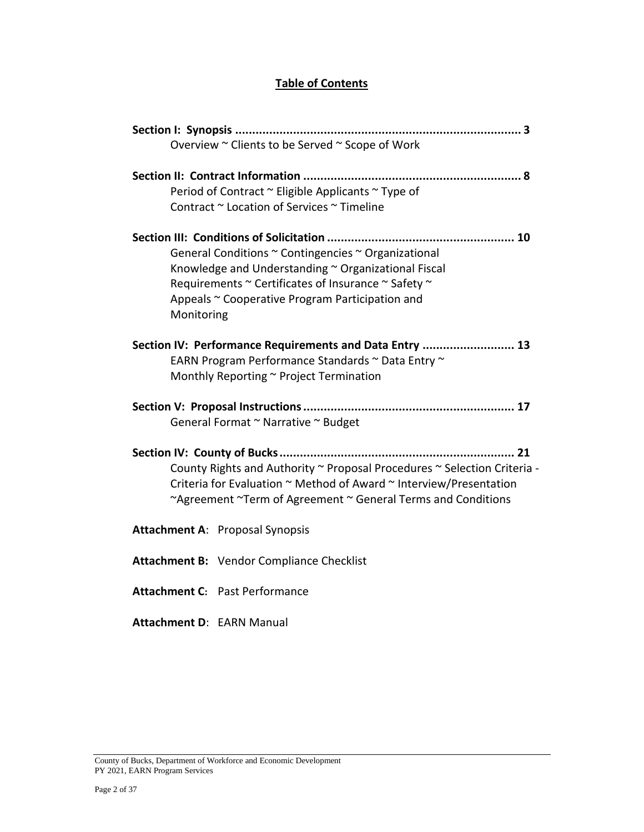### **Table of Contents**

| Overview ~ Clients to be Served ~ Scope of Work                                                                                                                                                                                    |
|------------------------------------------------------------------------------------------------------------------------------------------------------------------------------------------------------------------------------------|
| Period of Contract ~ Eligible Applicants ~ Type of<br>Contract ~ Location of Services ~ Timeline                                                                                                                                   |
| General Conditions ~ Contingencies ~ Organizational<br>Knowledge and Understanding ~ Organizational Fiscal<br>Requirements ~ Certificates of Insurance ~ Safety ~<br>Appeals ~ Cooperative Program Participation and<br>Monitoring |
| Section IV: Performance Requirements and Data Entry  13<br>EARN Program Performance Standards ~ Data Entry ~<br>Monthly Reporting ~ Project Termination                                                                            |
| General Format ~ Narrative ~ Budget                                                                                                                                                                                                |
| County Rights and Authority ~ Proposal Procedures ~ Selection Criteria -<br>Criteria for Evaluation ~ Method of Award ~ Interview/Presentation<br>~Agreement ~Term of Agreement ~ General Terms and Conditions                     |
| <b>Attachment A: Proposal Synopsis</b>                                                                                                                                                                                             |
| Attachment B: Vendor Compliance Checklist                                                                                                                                                                                          |
| <b>Attachment C: Past Performance</b>                                                                                                                                                                                              |
| <b>Attachment D: EARN Manual</b>                                                                                                                                                                                                   |

County of Bucks, Department of Workforce and Economic Development PY 2021, EARN Program Services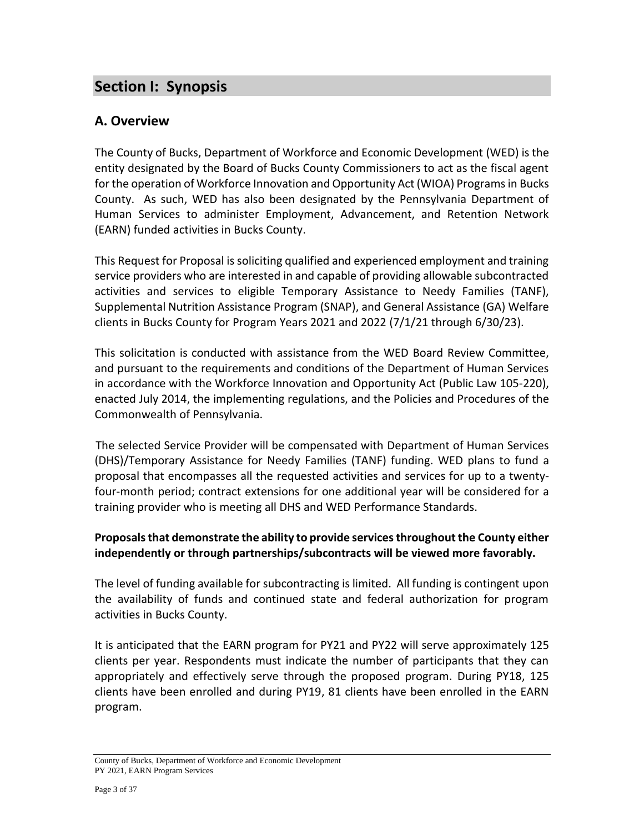## **Section I: Synopsis**

### **A. Overview**

The County of Bucks, Department of Workforce and Economic Development (WED) is the entity designated by the Board of Bucks County Commissioners to act as the fiscal agent for the operation of Workforce Innovation and Opportunity Act (WIOA) Programs in Bucks County. As such, WED has also been designated by the Pennsylvania Department of Human Services to administer Employment, Advancement, and Retention Network (EARN) funded activities in Bucks County.

This Request for Proposal is soliciting qualified and experienced employment and training service providers who are interested in and capable of providing allowable subcontracted activities and services to eligible Temporary Assistance to Needy Families (TANF), Supplemental Nutrition Assistance Program (SNAP), and General Assistance (GA) Welfare clients in Bucks County for Program Years 2021 and 2022 (7/1/21 through 6/30/23).

This solicitation is conducted with assistance from the WED Board Review Committee, and pursuant to the requirements and conditions of the Department of Human Services in accordance with the Workforce Innovation and Opportunity Act (Public Law 105-220), enacted July 2014, the implementing regulations, and the Policies and Procedures of the Commonwealth of Pennsylvania.

 The selected Service Provider will be compensated with Department of Human Services (DHS)/Temporary Assistance for Needy Families (TANF) funding. WED plans to fund a proposal that encompasses all the requested activities and services for up to a twentyfour-month period; contract extensions for one additional year will be considered for a training provider who is meeting all DHS and WED Performance Standards.

### **Proposals that demonstrate the ability to provide services throughout the County either independently or through partnerships/subcontracts will be viewed more favorably.**

The level of funding available for subcontracting is limited. All funding is contingent upon the availability of funds and continued state and federal authorization for program activities in Bucks County.

It is anticipated that the EARN program for PY21 and PY22 will serve approximately 125 clients per year. Respondents must indicate the number of participants that they can appropriately and effectively serve through the proposed program. During PY18, 125 clients have been enrolled and during PY19, 81 clients have been enrolled in the EARN program.

County of Bucks, Department of Workforce and Economic Development PY 2021, EARN Program Services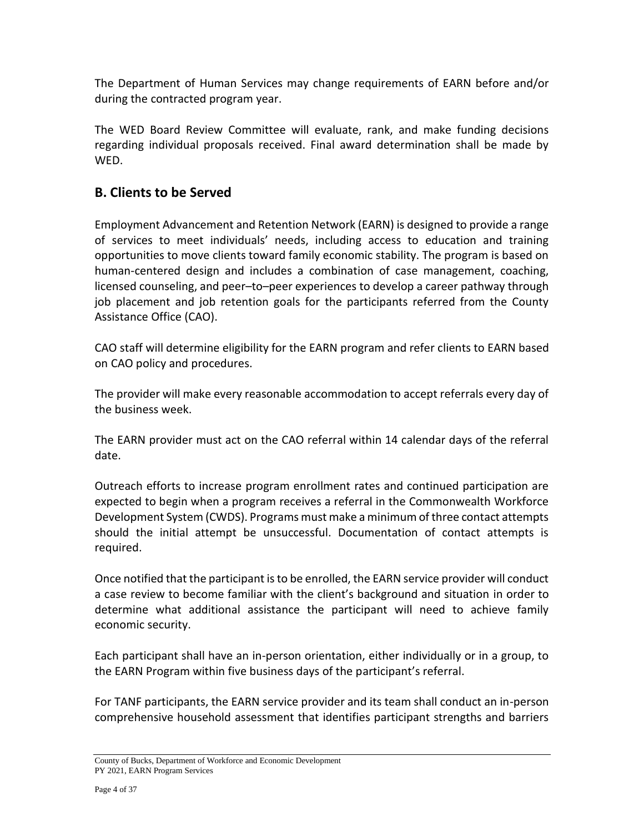The Department of Human Services may change requirements of EARN before and/or during the contracted program year.

The WED Board Review Committee will evaluate, rank, and make funding decisions regarding individual proposals received. Final award determination shall be made by WED.

### **B. Clients to be Served**

Employment Advancement and Retention Network (EARN) is designed to provide a range of services to meet individuals' needs, including access to education and training opportunities to move clients toward family economic stability. The program is based on human-centered design and includes a combination of case management, coaching, licensed counseling, and peer–to–peer experiences to develop a career pathway through job placement and job retention goals for the participants referred from the County Assistance Office (CAO).

CAO staff will determine eligibility for the EARN program and refer clients to EARN based on CAO policy and procedures.

The provider will make every reasonable accommodation to accept referrals every day of the business week.

The EARN provider must act on the CAO referral within 14 calendar days of the referral date.

Outreach efforts to increase program enrollment rates and continued participation are expected to begin when a program receives a referral in the Commonwealth Workforce Development System (CWDS). Programs must make a minimum of three contact attempts should the initial attempt be unsuccessful. Documentation of contact attempts is required.

Once notified that the participant is to be enrolled, the EARN service provider will conduct a case review to become familiar with the client's background and situation in order to determine what additional assistance the participant will need to achieve family economic security.

Each participant shall have an in-person orientation, either individually or in a group, to the EARN Program within five business days of the participant's referral.

For TANF participants, the EARN service provider and its team shall conduct an in-person comprehensive household assessment that identifies participant strengths and barriers

County of Bucks, Department of Workforce and Economic Development PY 2021, EARN Program Services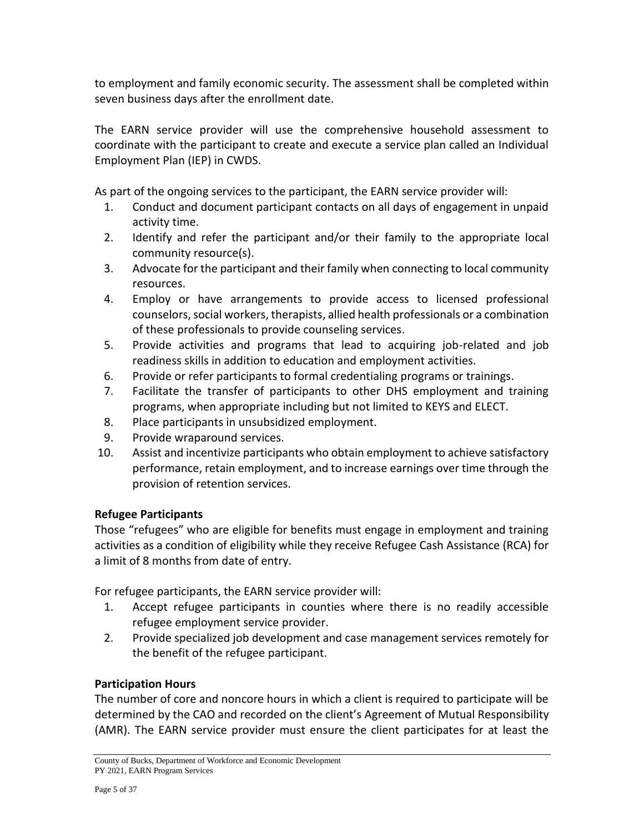to employment and family economic security. The assessment shall be completed within seven business days after the enrollment date.

The EARN service provider will use the comprehensive household assessment to coordinate with the participant to create and execute a service plan called an Individual Employment Plan (IEP) in CWDS.

As part of the ongoing services to the participant, the EARN service provider will:

- 1. Conduct and document participant contacts on all days of engagement in unpaid activity time.
- 2. Identify and refer the participant and/or their family to the appropriate local community resource(s).
- 3. Advocate for the participant and their family when connecting to local community resources.
- 4. Employ or have arrangements to provide access to licensed professional counselors, social workers, therapists, allied health professionals or a combination of these professionals to provide counseling services.
- 5. Provide activities and programs that lead to acquiring job-related and job readiness skills in addition to education and employment activities.
- 6. Provide or refer participants to formal credentialing programs or trainings.
- 7. Facilitate the transfer of participants to other DHS employment and training programs, when appropriate including but not limited to KEYS and ELECT.
- 8. Place participants in unsubsidized employment.
- 9. Provide wraparound services.
- 10. Assist and incentivize participants who obtain employment to achieve satisfactory performance, retain employment, and to increase earnings over time through the provision of retention services.

### **Refugee Participants**

Those "refugees" who are eligible for benefits must engage in employment and training activities as a condition of eligibility while they receive Refugee Cash Assistance (RCA) for a limit of 8 months from date of entry.

For refugee participants, the EARN service provider will:

- 1. Accept refugee participants in counties where there is no readily accessible refugee employment service provider.
- 2. Provide specialized job development and case management services remotely for the benefit of the refugee participant.

### **Participation Hours**

The number of core and noncore hours in which a client is required to participate will be determined by the CAO and recorded on the client's Agreement of Mutual Responsibility (AMR). The EARN service provider must ensure the client participates for at least the

County of Bucks, Department of Workforce and Economic Development PY 2021, EARN Program Services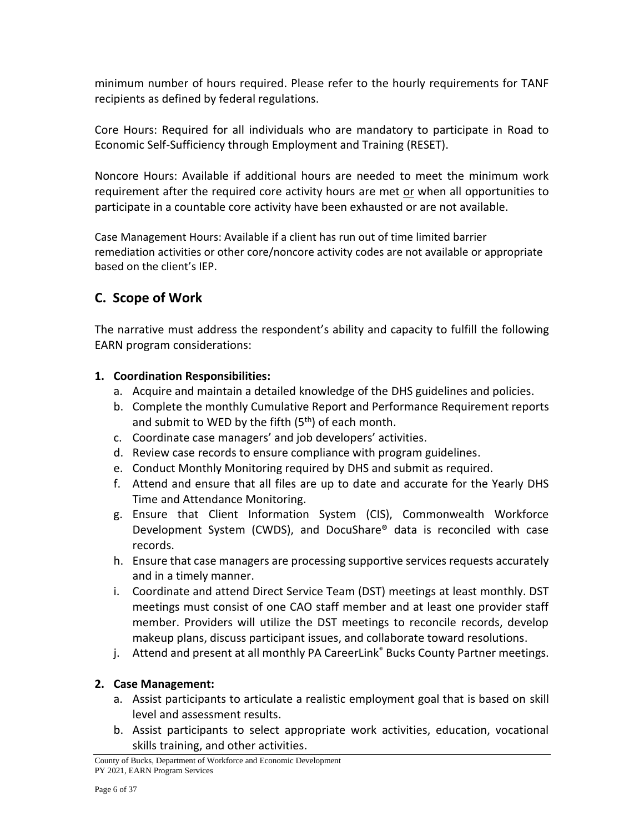minimum number of hours required. Please refer to the hourly requirements for TANF recipients as defined by federal regulations.

Core Hours: Required for all individuals who are mandatory to participate in Road to Economic Self-Sufficiency through Employment and Training (RESET).

Noncore Hours: Available if additional hours are needed to meet the minimum work requirement after the required core activity hours are met or when all opportunities to participate in a countable core activity have been exhausted or are not available.

Case Management Hours: Available if a client has run out of time limited barrier remediation activities or other core/noncore activity codes are not available or appropriate based on the client's IEP.

### **C. Scope of Work**

The narrative must address the respondent's ability and capacity to fulfill the following EARN program considerations:

### **1. Coordination Responsibilities:**

- a. Acquire and maintain a detailed knowledge of the DHS guidelines and policies.
- b. Complete the monthly Cumulative Report and Performance Requirement reports and submit to WED by the fifth  $(5<sup>th</sup>)$  of each month.
- c. Coordinate case managers' and job developers' activities.
- d. Review case records to ensure compliance with program guidelines.
- e. Conduct Monthly Monitoring required by DHS and submit as required.
- f. Attend and ensure that all files are up to date and accurate for the Yearly DHS Time and Attendance Monitoring.
- g. Ensure that Client Information System (CIS), Commonwealth Workforce Development System (CWDS), and DocuShare® data is reconciled with case records.
- h. Ensure that case managers are processing supportive services requests accurately and in a timely manner.
- i. Coordinate and attend Direct Service Team (DST) meetings at least monthly. DST meetings must consist of one CAO staff member and at least one provider staff member. Providers will utilize the DST meetings to reconcile records, develop makeup plans, discuss participant issues, and collaborate toward resolutions.
- j. Attend and present at all monthly PA CareerLink® Bucks County Partner meetings.

### **2. Case Management:**

- a. Assist participants to articulate a realistic employment goal that is based on skill level and assessment results.
- b. Assist participants to select appropriate work activities, education, vocational skills training, and other activities.

County of Bucks, Department of Workforce and Economic Development PY 2021, EARN Program Services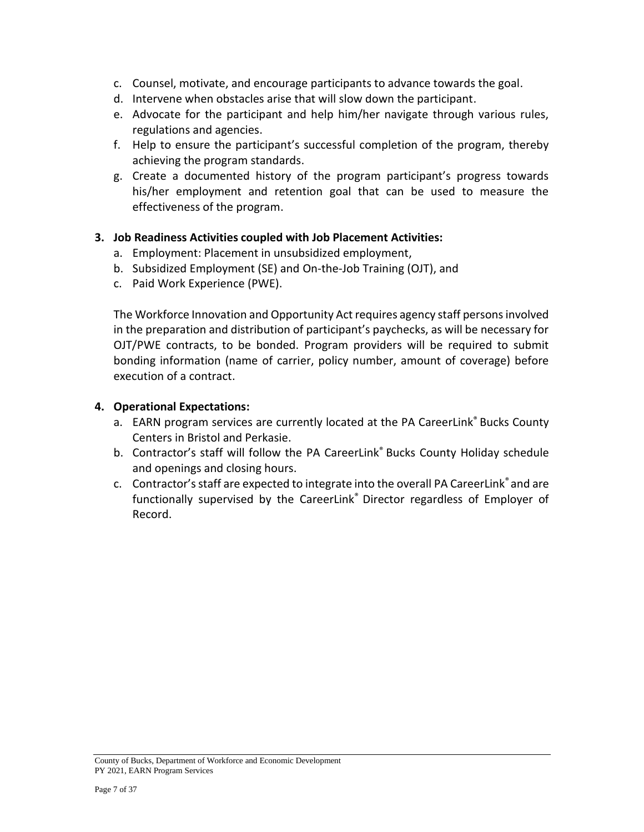- c. Counsel, motivate, and encourage participants to advance towards the goal.
- d. Intervene when obstacles arise that will slow down the participant.
- e. Advocate for the participant and help him/her navigate through various rules, regulations and agencies.
- f. Help to ensure the participant's successful completion of the program, thereby achieving the program standards.
- g. Create a documented history of the program participant's progress towards his/her employment and retention goal that can be used to measure the effectiveness of the program.

#### **3. Job Readiness Activities coupled with Job Placement Activities:**

- a. Employment: Placement in unsubsidized employment,
- b. Subsidized Employment (SE) and On-the-Job Training (OJT), and
- c. Paid Work Experience (PWE).

The Workforce Innovation and Opportunity Act requires agency staff persons involved in the preparation and distribution of participant's paychecks, as will be necessary for OJT/PWE contracts, to be bonded. Program providers will be required to submit bonding information (name of carrier, policy number, amount of coverage) before execution of a contract.

#### **4. Operational Expectations:**

- a. EARN program services are currently located at the PA CareerLink® Bucks County Centers in Bristol and Perkasie.
- b. Contractor's staff will follow the PA CareerLink® Bucks County Holiday schedule and openings and closing hours.
- c. Contractor's staff are expected to integrate into the overall PA CareerLink® and are functionally supervised by the CareerLink® Director regardless of Employer of Record.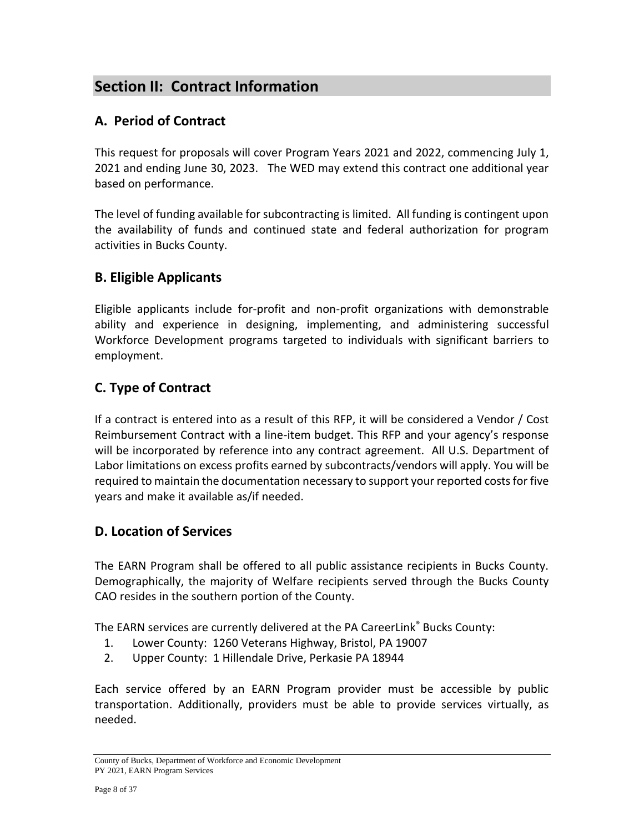# **Section II: Contract Information**

### **A. Period of Contract**

This request for proposals will cover Program Years 2021 and 2022, commencing July 1, 2021 and ending June 30, 2023. The WED may extend this contract one additional year based on performance.

The level of funding available for subcontracting is limited. All funding is contingent upon the availability of funds and continued state and federal authorization for program activities in Bucks County.

### **B. Eligible Applicants**

Eligible applicants include for-profit and non-profit organizations with demonstrable ability and experience in designing, implementing, and administering successful Workforce Development programs targeted to individuals with significant barriers to employment.

## **C. Type of Contract**

If a contract is entered into as a result of this RFP, it will be considered a Vendor / Cost Reimbursement Contract with a line-item budget. This RFP and your agency's response will be incorporated by reference into any contract agreement. All U.S. Department of Labor limitations on excess profits earned by subcontracts/vendors will apply. You will be required to maintain the documentation necessary to support your reported costs for five years and make it available as/if needed.

### **D. Location of Services**

The EARN Program shall be offered to all public assistance recipients in Bucks County. Demographically, the majority of Welfare recipients served through the Bucks County CAO resides in the southern portion of the County.

The EARN services are currently delivered at the PA CareerLink® Bucks County:

- 1. Lower County: 1260 Veterans Highway, Bristol, PA 19007
- 2. Upper County: 1 Hillendale Drive, Perkasie PA 18944

Each service offered by an EARN Program provider must be accessible by public transportation. Additionally, providers must be able to provide services virtually, as needed.

County of Bucks, Department of Workforce and Economic Development PY 2021, EARN Program Services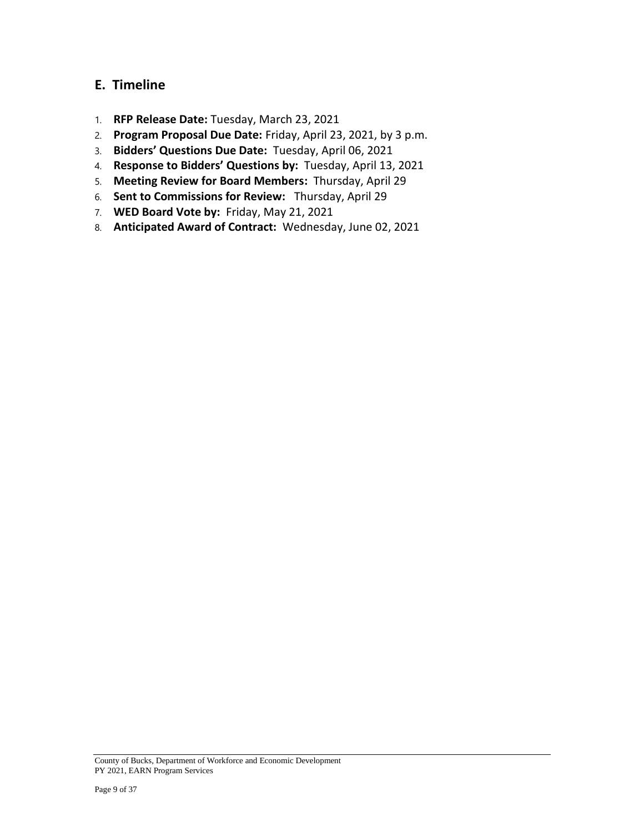### **E. Timeline**

- 1. **RFP Release Date:** Tuesday, March 23, 2021
- 2. **Program Proposal Due Date:** Friday, April 23, 2021, by 3 p.m.
- 3. **Bidders' Questions Due Date:** Tuesday, April 06, 2021
- 4. **Response to Bidders' Questions by:** Tuesday, April 13, 2021
- 5. **Meeting Review for Board Members:** Thursday, April 29
- 6. **Sent to Commissions for Review:** Thursday, April 29
- 7. **WED Board Vote by:** Friday, May 21, 2021
- 8. **Anticipated Award of Contract:** Wednesday, June 02, 2021

County of Bucks, Department of Workforce and Economic Development PY 2021, EARN Program Services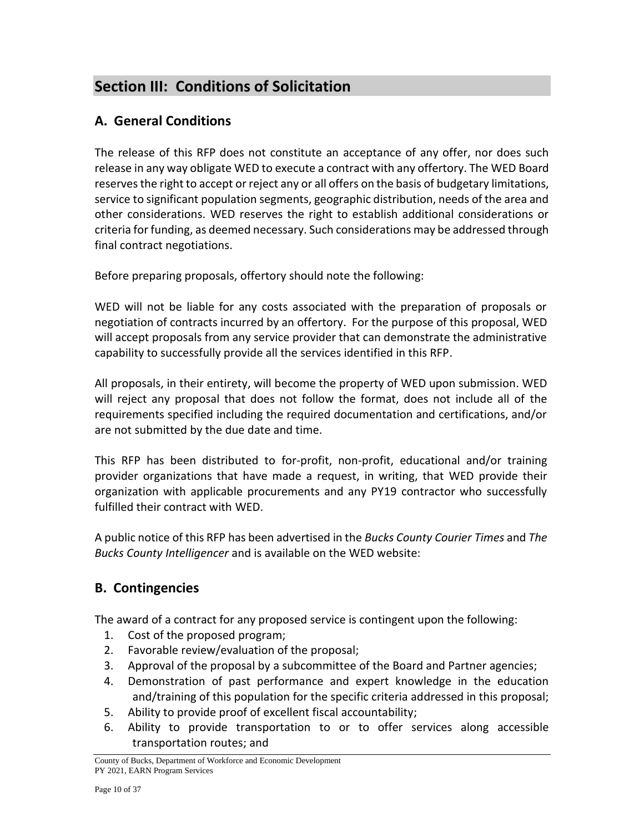# **Section III: Conditions of Solicitation**

### **A. General Conditions**

The release of this RFP does not constitute an acceptance of any offer, nor does such release in any way obligate WED to execute a contract with any offertory. The WED Board reserves the right to accept or reject any or all offers on the basis of budgetary limitations, service to significant population segments, geographic distribution, needs of the area and other considerations. WED reserves the right to establish additional considerations or criteria for funding, as deemed necessary. Such considerations may be addressed through final contract negotiations.

Before preparing proposals, offertory should note the following:

WED will not be liable for any costs associated with the preparation of proposals or negotiation of contracts incurred by an offertory. For the purpose of this proposal, WED will accept proposals from any service provider that can demonstrate the administrative capability to successfully provide all the services identified in this RFP.

All proposals, in their entirety, will become the property of WED upon submission. WED will reject any proposal that does not follow the format, does not include all of the requirements specified including the required documentation and certifications, and/or are not submitted by the due date and time.

This RFP has been distributed to for-profit, non-profit, educational and/or training provider organizations that have made a request, in writing, that WED provide their organization with applicable procurements and any PY19 contractor who successfully fulfilled their contract with WED.

A public notice of this RFP has been advertised in the *Bucks County Courier Times* and *The Bucks County Intelligencer* and is available on the WED website:

## **B. Contingencies**

The award of a contract for any proposed service is contingent upon the following:

- 1. Cost of the proposed program;
- 2. Favorable review/evaluation of the proposal;
- 3. Approval of the proposal by a subcommittee of the Board and Partner agencies;
- 4. Demonstration of past performance and expert knowledge in the education and/training of this population for the specific criteria addressed in this proposal;
- 5. Ability to provide proof of excellent fiscal accountability;
- 6. Ability to provide transportation to or to offer services along accessible transportation routes; and

County of Bucks, Department of Workforce and Economic Development PY 2021, EARN Program Services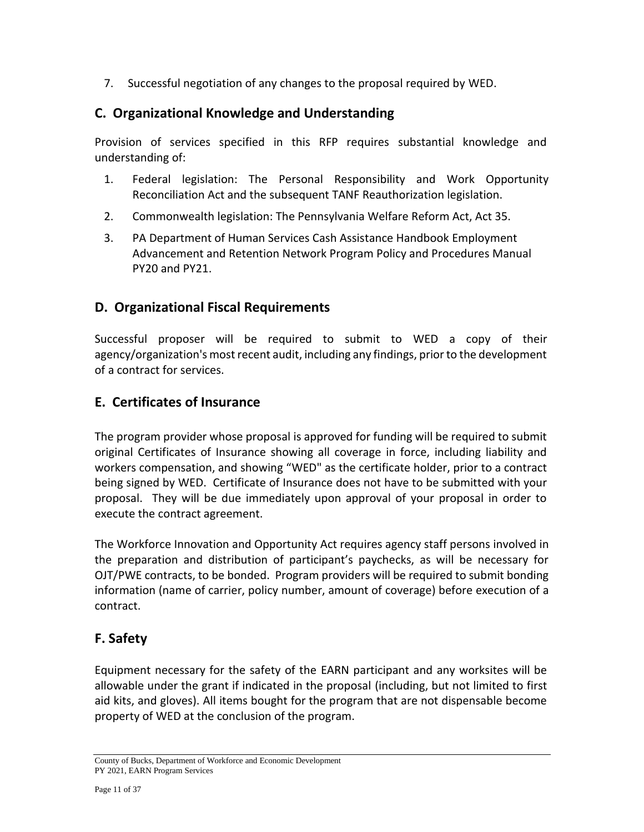7. Successful negotiation of any changes to the proposal required by WED.

### **C. Organizational Knowledge and Understanding**

Provision of services specified in this RFP requires substantial knowledge and understanding of:

- 1. Federal legislation: The Personal Responsibility and Work Opportunity Reconciliation Act and the subsequent TANF Reauthorization legislation.
- 2. Commonwealth legislation: The Pennsylvania Welfare Reform Act, Act 35.
- 3. PA Department of Human Services Cash Assistance Handbook Employment Advancement and Retention Network Program Policy and Procedures Manual PY20 and PY21.

### **D. Organizational Fiscal Requirements**

Successful proposer will be required to submit to WED a copy of their agency/organization's most recent audit, including any findings, prior to the development of a contract for services.

### **E. Certificates of Insurance**

The program provider whose proposal is approved for funding will be required to submit original Certificates of Insurance showing all coverage in force, including liability and workers compensation, and showing "WED" as the certificate holder, prior to a contract being signed by WED. Certificate of Insurance does not have to be submitted with your proposal. They will be due immediately upon approval of your proposal in order to execute the contract agreement.

The Workforce Innovation and Opportunity Act requires agency staff persons involved in the preparation and distribution of participant's paychecks, as will be necessary for OJT/PWE contracts, to be bonded. Program providers will be required to submit bonding information (name of carrier, policy number, amount of coverage) before execution of a contract.

### **F. Safety**

Equipment necessary for the safety of the EARN participant and any worksites will be allowable under the grant if indicated in the proposal (including, but not limited to first aid kits, and gloves). All items bought for the program that are not dispensable become property of WED at the conclusion of the program.

County of Bucks, Department of Workforce and Economic Development PY 2021, EARN Program Services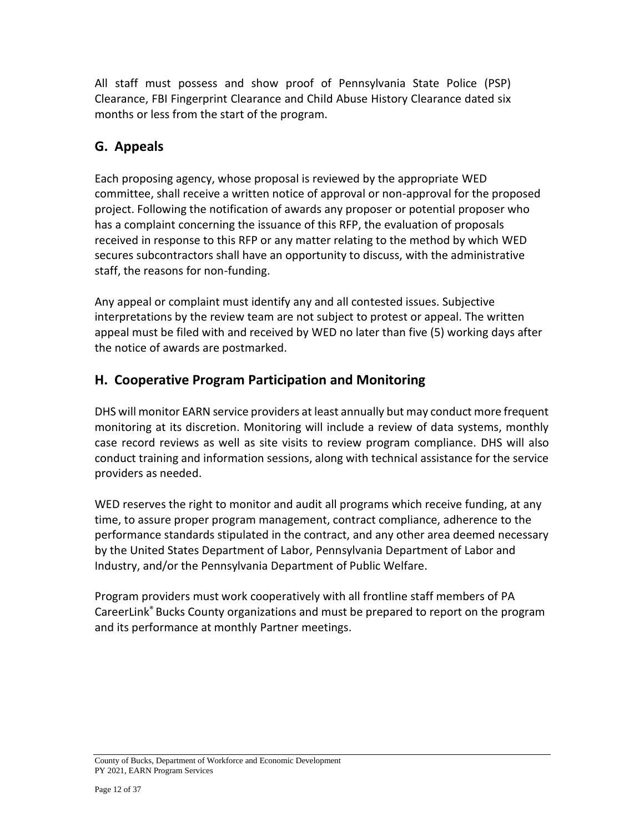All staff must possess and show proof of Pennsylvania State Police (PSP) Clearance, FBI Fingerprint Clearance and Child Abuse History Clearance dated six months or less from the start of the program.

## **G. Appeals**

Each proposing agency, whose proposal is reviewed by the appropriate WED committee, shall receive a written notice of approval or non-approval for the proposed project. Following the notification of awards any proposer or potential proposer who has a complaint concerning the issuance of this RFP, the evaluation of proposals received in response to this RFP or any matter relating to the method by which WED secures subcontractors shall have an opportunity to discuss, with the administrative staff, the reasons for non-funding.

Any appeal or complaint must identify any and all contested issues. Subjective interpretations by the review team are not subject to protest or appeal. The written appeal must be filed with and received by WED no later than five (5) working days after the notice of awards are postmarked.

### **H. Cooperative Program Participation and Monitoring**

DHS will monitor EARN service providers at least annually but may conduct more frequent monitoring at its discretion. Monitoring will include a review of data systems, monthly case record reviews as well as site visits to review program compliance. DHS will also conduct training and information sessions, along with technical assistance for the service providers as needed.

WED reserves the right to monitor and audit all programs which receive funding, at any time, to assure proper program management, contract compliance, adherence to the performance standards stipulated in the contract, and any other area deemed necessary by the United States Department of Labor, Pennsylvania Department of Labor and Industry, and/or the Pennsylvania Department of Public Welfare.

Program providers must work cooperatively with all frontline staff members of PA CareerLink® Bucks County organizations and must be prepared to report on the program and its performance at monthly Partner meetings.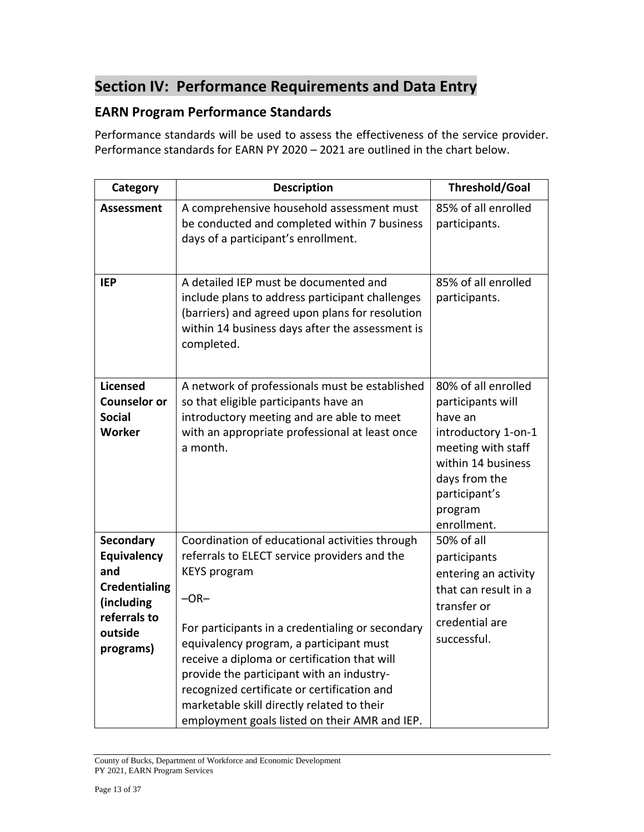# **Section IV: Performance Requirements and Data Entry**

### **EARN Program Performance Standards**

Performance standards will be used to assess the effectiveness of the service provider. Performance standards for EARN PY 2020 – 2021 are outlined in the chart below.

| Category                                                                                                             | <b>Description</b>                                                                                                                                                                                                                                                                                                                                                                                                                                                        | <b>Threshold/Goal</b>                                                                                                                                                              |
|----------------------------------------------------------------------------------------------------------------------|---------------------------------------------------------------------------------------------------------------------------------------------------------------------------------------------------------------------------------------------------------------------------------------------------------------------------------------------------------------------------------------------------------------------------------------------------------------------------|------------------------------------------------------------------------------------------------------------------------------------------------------------------------------------|
| <b>Assessment</b>                                                                                                    | A comprehensive household assessment must<br>be conducted and completed within 7 business<br>days of a participant's enrollment.                                                                                                                                                                                                                                                                                                                                          | 85% of all enrolled<br>participants.                                                                                                                                               |
| <b>IEP</b>                                                                                                           | A detailed IEP must be documented and<br>include plans to address participant challenges<br>(barriers) and agreed upon plans for resolution<br>within 14 business days after the assessment is<br>completed.                                                                                                                                                                                                                                                              | 85% of all enrolled<br>participants.                                                                                                                                               |
| <b>Licensed</b><br><b>Counselor or</b><br><b>Social</b><br>Worker                                                    | A network of professionals must be established<br>so that eligible participants have an<br>introductory meeting and are able to meet<br>with an appropriate professional at least once<br>a month.                                                                                                                                                                                                                                                                        | 80% of all enrolled<br>participants will<br>have an<br>introductory 1-on-1<br>meeting with staff<br>within 14 business<br>days from the<br>participant's<br>program<br>enrollment. |
| <b>Secondary</b><br>Equivalency<br>and<br><b>Credentialing</b><br>(including<br>referrals to<br>outside<br>programs) | Coordination of educational activities through<br>referrals to ELECT service providers and the<br><b>KEYS</b> program<br>$-OR-$<br>For participants in a credentialing or secondary<br>equivalency program, a participant must<br>receive a diploma or certification that will<br>provide the participant with an industry-<br>recognized certificate or certification and<br>marketable skill directly related to their<br>employment goals listed on their AMR and IEP. | 50% of all<br>participants<br>entering an activity<br>that can result in a<br>transfer or<br>credential are<br>successful.                                                         |

County of Bucks, Department of Workforce and Economic Development PY 2021, EARN Program Services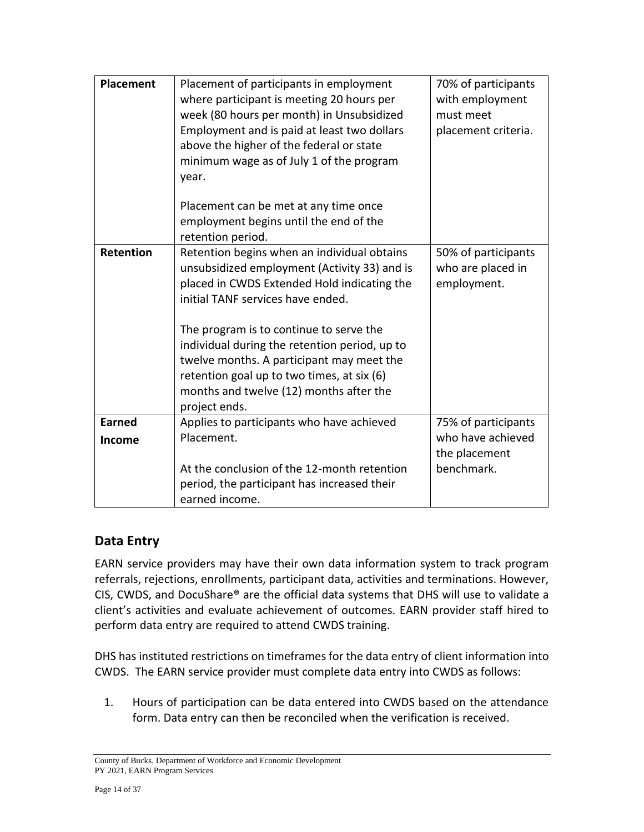| <b>Placement</b>        | Placement of participants in employment<br>where participant is meeting 20 hours per<br>week (80 hours per month) in Unsubsidized<br>Employment and is paid at least two dollars<br>above the higher of the federal or state<br>minimum wage as of July 1 of the program                                                                                                                                                           | 70% of participants<br>with employment<br>must meet<br>placement criteria. |
|-------------------------|------------------------------------------------------------------------------------------------------------------------------------------------------------------------------------------------------------------------------------------------------------------------------------------------------------------------------------------------------------------------------------------------------------------------------------|----------------------------------------------------------------------------|
|                         | year.<br>Placement can be met at any time once<br>employment begins until the end of the<br>retention period.                                                                                                                                                                                                                                                                                                                      |                                                                            |
| <b>Retention</b>        | Retention begins when an individual obtains<br>unsubsidized employment (Activity 33) and is<br>placed in CWDS Extended Hold indicating the<br>initial TANF services have ended.<br>The program is to continue to serve the<br>individual during the retention period, up to<br>twelve months. A participant may meet the<br>retention goal up to two times, at six (6)<br>months and twelve (12) months after the<br>project ends. | 50% of participants<br>who are placed in<br>employment.                    |
| <b>Earned</b><br>Income | Applies to participants who have achieved<br>Placement.<br>At the conclusion of the 12-month retention<br>period, the participant has increased their                                                                                                                                                                                                                                                                              | 75% of participants<br>who have achieved<br>the placement<br>benchmark.    |
|                         | earned income.                                                                                                                                                                                                                                                                                                                                                                                                                     |                                                                            |

### **Data Entry**

EARN service providers may have their own data information system to track program referrals, rejections, enrollments, participant data, activities and terminations. However, CIS, CWDS, and DocuShare® are the official data systems that DHS will use to validate a client's activities and evaluate achievement of outcomes. EARN provider staff hired to perform data entry are required to attend CWDS training.

DHS has instituted restrictions on timeframes for the data entry of client information into CWDS. The EARN service provider must complete data entry into CWDS as follows:

1. Hours of participation can be data entered into CWDS based on the attendance form. Data entry can then be reconciled when the verification is received.

County of Bucks, Department of Workforce and Economic Development PY 2021, EARN Program Services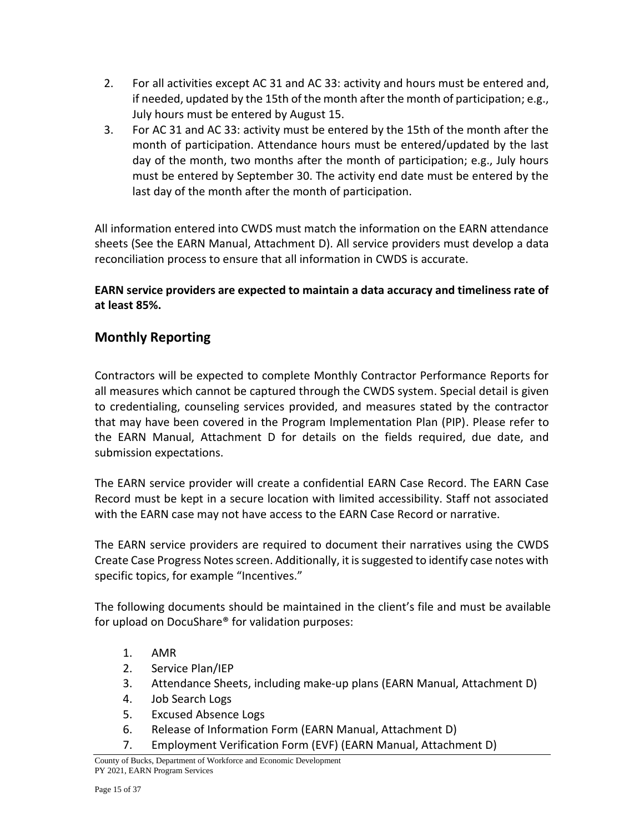- 2. For all activities except AC 31 and AC 33: activity and hours must be entered and, if needed, updated by the 15th of the month after the month of participation; e.g., July hours must be entered by August 15.
- 3. For AC 31 and AC 33: activity must be entered by the 15th of the month after the month of participation. Attendance hours must be entered/updated by the last day of the month, two months after the month of participation; e.g., July hours must be entered by September 30. The activity end date must be entered by the last day of the month after the month of participation.

All information entered into CWDS must match the information on the EARN attendance sheets (See the EARN Manual, [Attachment D\)](file:///C:/Users/amcolyar/Desktop/EARN%20MANUAL/EARN%20Manual%20PY%2020-21%20Final.docx%23_ATTACHMENT_A_Attendance). All service providers must develop a data reconciliation process to ensure that all information in CWDS is accurate.

### **EARN service providers are expected to maintain a data accuracy and timeliness rate of at least 85%.**

## **Monthly Reporting**

Contractors will be expected to complete Monthly Contractor Performance Reports for all measures which cannot be captured through the CWDS system. Special detail is given to credentialing, counseling services provided, and measures stated by the contractor that may have been covered in the Program Implementation Plan (PIP). Please refer to the EARN Manual, Attachment D for details on the fields required, due date, and submission expectations.

The EARN service provider will create a confidential EARN Case Record. The EARN Case Record must be kept in a secure location with limited accessibility. Staff not associated with the EARN case may not have access to the EARN Case Record or narrative.

The EARN service providers are required to document their narratives using the CWDS Create Case Progress Notes screen. Additionally, it is suggested to identify case notes with specific topics, for example "Incentives."

The following documents should be maintained in the client's file and must be available for upload on DocuShare® for validation purposes:

- 1. AMR
- 2. Service Plan/IEP
- 3. Attendance Sheets, including make-up plans (EARN Manual, [Attachment D\)](file:///C:/Users/amcolyar/Desktop/EARN%20MANUAL/EARN%20Manual%20PY%2020-21%20Final.docx%23_ATTACHMENT_A_Attendance)
- 4. Job Search Logs
- 5. Excused Absence Logs
- 6. Release of Information Form (EARN Manual, [Attachment D\)](file:///C:/Users/amcolyar/Desktop/EARN%20MANUAL/EARN%20Manual%20PY%2020-21%20Final.docx%23_ATTACHMENT_G_Confidential)
- 7. Employment Verification Form (EVF) (EARN Manual, [Attachment](file:///C:/Users/amcolyar/Desktop/EARN%20MANUAL/EARN%20Manual%20PY%2020-21%20Final.docx%23_ATTACHMENT_F_EVF) D)

County of Bucks, Department of Workforce and Economic Development PY 2021, EARN Program Services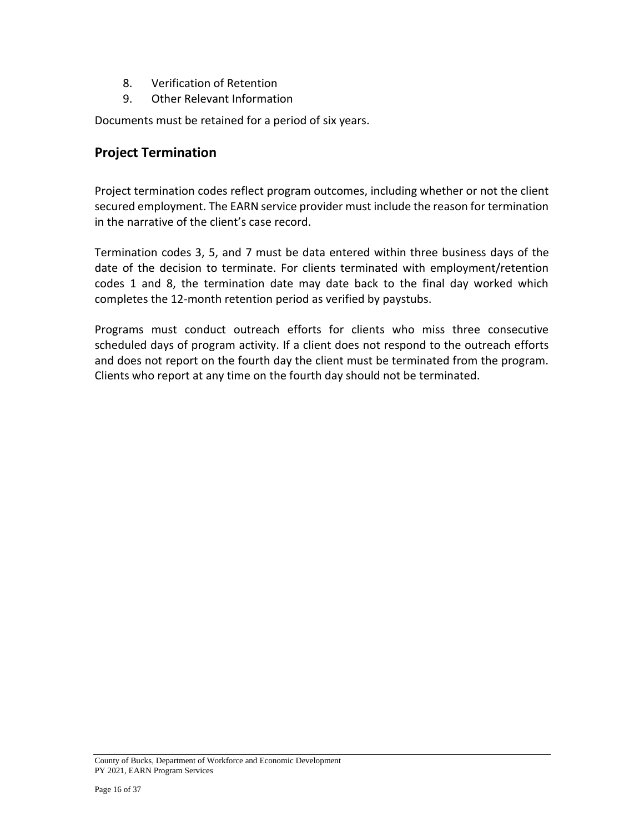- 8. Verification of Retention
- 9. Other Relevant Information

Documents must be retained for a period of six years.

### **Project Termination**

Project termination codes reflect program outcomes, including whether or not the client secured employment. The EARN service provider must include the reason for termination in the narrative of the client's case record.

Termination codes 3, 5, and 7 must be data entered within three business days of the date of the decision to terminate. For clients terminated with employment/retention codes 1 and 8, the termination date may date back to the final day worked which completes the 12-month retention period as verified by paystubs.

Programs must conduct outreach efforts for clients who miss three consecutive scheduled days of program activity. If a client does not respond to the outreach efforts and does not report on the fourth day the client must be terminated from the program. Clients who report at any time on the fourth day should not be terminated.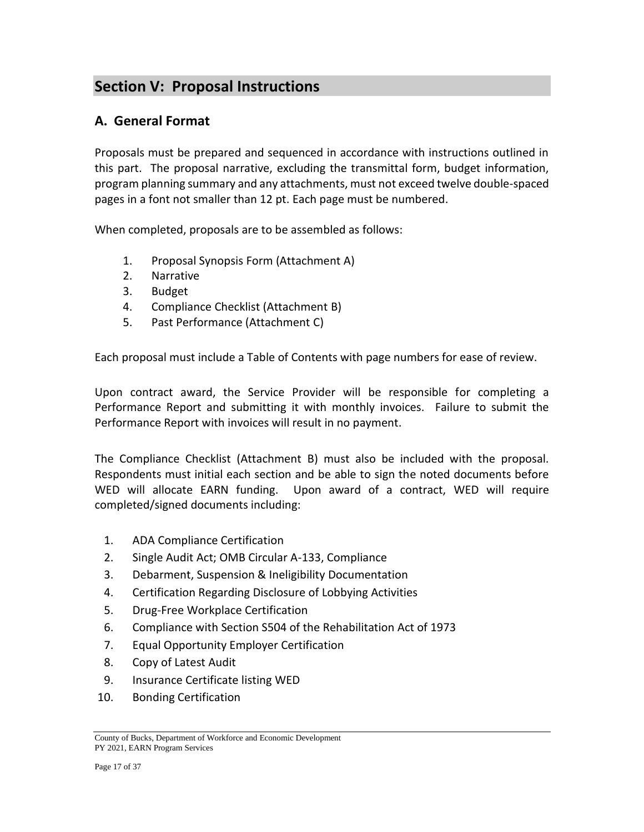# **Section V: Proposal Instructions**

### **A. General Format**

Proposals must be prepared and sequenced in accordance with instructions outlined in this part. The proposal narrative, excluding the transmittal form, budget information, program planning summary and any attachments, must not exceed twelve double-spaced pages in a font not smaller than 12 pt. Each page must be numbered.

When completed, proposals are to be assembled as follows:

- 1. Proposal Synopsis Form (Attachment A)
- 2. Narrative
- 3. Budget
- 4. Compliance Checklist (Attachment B)
- 5. Past Performance (Attachment C)

Each proposal must include a Table of Contents with page numbers for ease of review.

Upon contract award, the Service Provider will be responsible for completing a Performance Report and submitting it with monthly invoices. Failure to submit the Performance Report with invoices will result in no payment.

The Compliance Checklist (Attachment B) must also be included with the proposal. Respondents must initial each section and be able to sign the noted documents before WED will allocate EARN funding. Upon award of a contract, WED will require completed/signed documents including:

- 1. ADA Compliance Certification
- 2. Single Audit Act; OMB Circular A-133, Compliance
- 3. Debarment, Suspension & Ineligibility Documentation
- 4. Certification Regarding Disclosure of Lobbying Activities
- 5. Drug-Free Workplace Certification
- 6. Compliance with Section S504 of the Rehabilitation Act of 1973
- 7. Equal Opportunity Employer Certification
- 8. Copy of Latest Audit
- 9. Insurance Certificate listing WED
- 10. Bonding Certification

County of Bucks, Department of Workforce and Economic Development PY 2021, EARN Program Services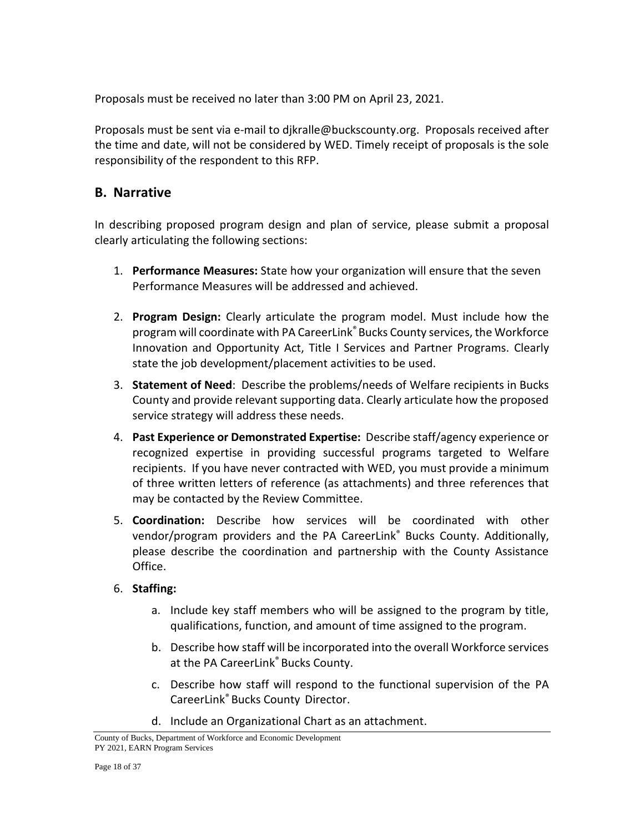Proposals must be received no later than 3:00 PM on April 23, 2021.

Proposals must be sent via e-mail to djkralle@buckscounty.org. Proposals received after the time and date, will not be considered by WED. Timely receipt of proposals is the sole responsibility of the respondent to this RFP.

### **B. Narrative**

In describing proposed program design and plan of service, please submit a proposal clearly articulating the following sections:

- 1. **Performance Measures:** State how your organization will ensure that the seven Performance Measures will be addressed and achieved.
- 2. **Program Design:** Clearly articulate the program model. Must include how the program will coordinate with PA CareerLink®Bucks County services, the Workforce Innovation and Opportunity Act, Title I Services and Partner Programs. Clearly state the job development/placement activities to be used.
- 3. **Statement of Need**: Describe the problems/needs of Welfare recipients in Bucks County and provide relevant supporting data. Clearly articulate how the proposed service strategy will address these needs.
- 4. **Past Experience or Demonstrated Expertise:** Describe staff/agency experience or recognized expertise in providing successful programs targeted to Welfare recipients. If you have never contracted with WED, you must provide a minimum of three written letters of reference (as attachments) and three references that may be contacted by the Review Committee.
- 5. **Coordination:** Describe how services will be coordinated with other vendor/program providers and the PA CareerLink® Bucks County. Additionally, please describe the coordination and partnership with the County Assistance Office.

### 6. **Staffing:**

- a. Include key staff members who will be assigned to the program by title, qualifications, function, and amount of time assigned to the program.
- b. Describe how staff will be incorporated into the overall Workforce services at the PA CareerLink® Bucks County.
- c. Describe how staff will respond to the functional supervision of the PA CareerLink® Bucks County Director.
- d. Include an Organizational Chart as an attachment.

County of Bucks, Department of Workforce and Economic Development PY 2021, EARN Program Services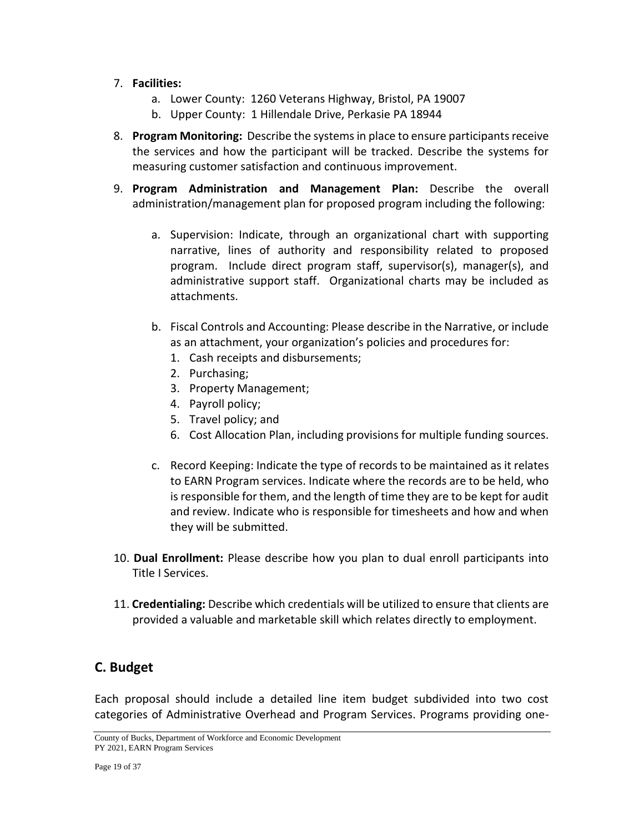#### 7. **Facilities:**

- a. Lower County: 1260 Veterans Highway, Bristol, PA 19007
- b. Upper County: 1 Hillendale Drive, Perkasie PA 18944
- 8. **Program Monitoring:** Describe the systems in place to ensure participants receive the services and how the participant will be tracked. Describe the systems for measuring customer satisfaction and continuous improvement.
- 9. **Program Administration and Management Plan:** Describe the overall administration/management plan for proposed program including the following:
	- a. Supervision: Indicate, through an organizational chart with supporting narrative, lines of authority and responsibility related to proposed program. Include direct program staff, supervisor(s), manager(s), and administrative support staff. Organizational charts may be included as attachments.
	- b. Fiscal Controls and Accounting: Please describe in the Narrative, or include as an attachment, your organization's policies and procedures for:
		- 1. Cash receipts and disbursements;
		- 2. Purchasing;
		- 3. Property Management;
		- 4. Payroll policy;
		- 5. Travel policy; and
		- 6. Cost Allocation Plan, including provisions for multiple funding sources.
	- c. Record Keeping: Indicate the type of records to be maintained as it relates to EARN Program services. Indicate where the records are to be held, who is responsible for them, and the length of time they are to be kept for audit and review. Indicate who is responsible for timesheets and how and when they will be submitted.
- 10. **Dual Enrollment:** Please describe how you plan to dual enroll participants into Title I Services.
- 11. **Credentialing:** Describe which credentials will be utilized to ensure that clients are provided a valuable and marketable skill which relates directly to employment.

### **C. Budget**

Each proposal should include a detailed line item budget subdivided into two cost categories of Administrative Overhead and Program Services. Programs providing one-

County of Bucks, Department of Workforce and Economic Development PY 2021, EARN Program Services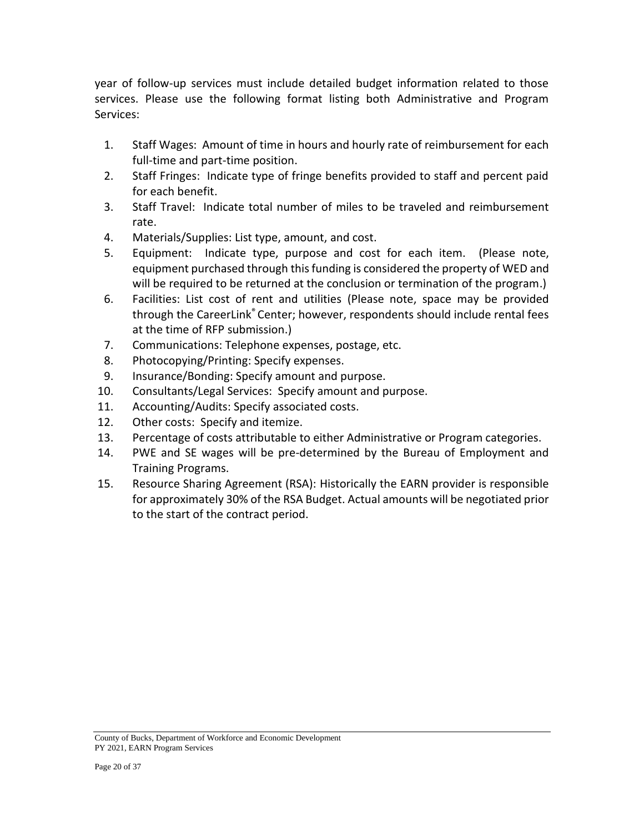year of follow-up services must include detailed budget information related to those services. Please use the following format listing both Administrative and Program Services:

- 1. Staff Wages: Amount of time in hours and hourly rate of reimbursement for each full-time and part-time position.
- 2. Staff Fringes: Indicate type of fringe benefits provided to staff and percent paid for each benefit.
- 3. Staff Travel: Indicate total number of miles to be traveled and reimbursement rate.
- 4. Materials/Supplies: List type, amount, and cost.
- 5. Equipment: Indicate type, purpose and cost for each item. (Please note, equipment purchased through thisfunding is considered the property of WED and will be required to be returned at the conclusion or termination of the program.)
- 6. Facilities: List cost of rent and utilities (Please note, space may be provided through the CareerLink® Center; however, respondents should include rental fees at the time of RFP submission.)
- 7. Communications: Telephone expenses, postage, etc.
- 8. Photocopying/Printing: Specify expenses.
- 9. Insurance/Bonding: Specify amount and purpose.
- 10. Consultants/Legal Services: Specify amount and purpose.
- 11. Accounting/Audits: Specify associated costs.
- 12. Other costs: Specify and itemize.
- 13. Percentage of costs attributable to either Administrative or Program categories.
- 14. PWE and SE wages will be pre-determined by the Bureau of Employment and Training Programs.
- 15. Resource Sharing Agreement (RSA): Historically the EARN provider is responsible for approximately 30% of the RSA Budget. Actual amounts will be negotiated prior to the start of the contract period.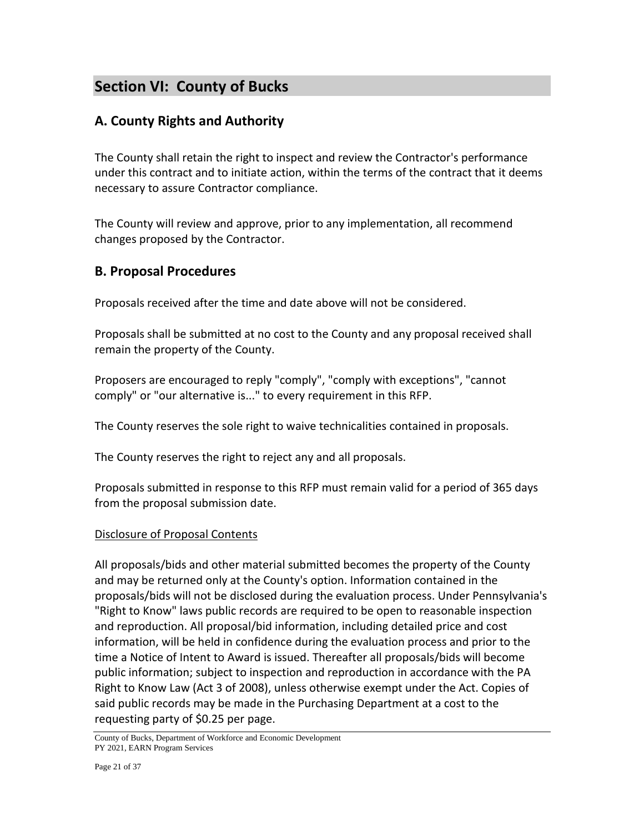# **Section VI: County of Bucks**

### **A. County Rights and Authority**

The County shall retain the right to inspect and review the Contractor's performance under this contract and to initiate action, within the terms of the contract that it deems necessary to assure Contractor compliance.

The County will review and approve, prior to any implementation, all recommend changes proposed by the Contractor.

### **B. Proposal Procedures**

Proposals received after the time and date above will not be considered.

Proposals shall be submitted at no cost to the County and any proposal received shall remain the property of the County.

Proposers are encouraged to reply "comply", "comply with exceptions", "cannot comply" or "our alternative is..." to every requirement in this RFP.

The County reserves the sole right to waive technicalities contained in proposals.

The County reserves the right to reject any and all proposals.

Proposals submitted in response to this RFP must remain valid for a period of 365 days from the proposal submission date.

### Disclosure of Proposal Contents

All proposals/bids and other material submitted becomes the property of the County and may be returned only at the County's option. Information contained in the proposals/bids will not be disclosed during the evaluation process. Under Pennsylvania's "Right to Know" laws public records are required to be open to reasonable inspection and reproduction. All proposal/bid information, including detailed price and cost information, will be held in confidence during the evaluation process and prior to the time a Notice of Intent to Award is issued. Thereafter all proposals/bids will become public information; subject to inspection and reproduction in accordance with the PA Right to Know Law (Act 3 of 2008), unless otherwise exempt under the Act. Copies of said public records may be made in the Purchasing Department at a cost to the requesting party of \$0.25 per page.

County of Bucks, Department of Workforce and Economic Development PY 2021, EARN Program Services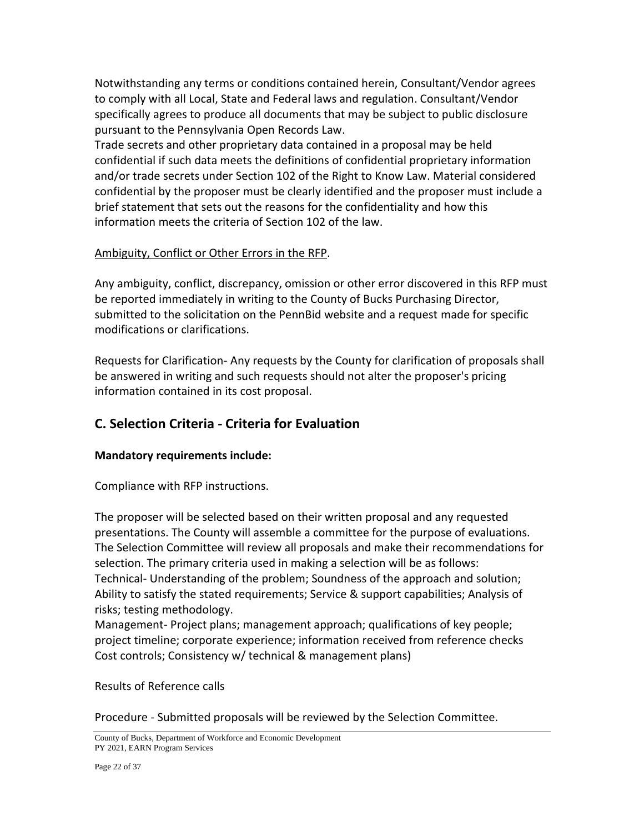Notwithstanding any terms or conditions contained herein, Consultant/Vendor agrees to comply with all Local, State and Federal laws and regulation. Consultant/Vendor specifically agrees to produce all documents that may be subject to public disclosure pursuant to the Pennsylvania Open Records Law.

Trade secrets and other proprietary data contained in a proposal may be held confidential if such data meets the definitions of confidential proprietary information and/or trade secrets under Section 102 of the Right to Know Law. Material considered confidential by the proposer must be clearly identified and the proposer must include a brief statement that sets out the reasons for the confidentiality and how this information meets the criteria of Section 102 of the law.

#### Ambiguity, Conflict or Other Errors in the RFP.

Any ambiguity, conflict, discrepancy, omission or other error discovered in this RFP must be reported immediately in writing to the County of Bucks Purchasing Director, submitted to the solicitation on the PennBid website and a request made for specific modifications or clarifications.

Requests for Clarification- Any requests by the County for clarification of proposals shall be answered in writing and such requests should not alter the proposer's pricing information contained in its cost proposal.

### **C. Selection Criteria - Criteria for Evaluation**

#### **Mandatory requirements include:**

Compliance with RFP instructions.

The proposer will be selected based on their written proposal and any requested presentations. The County will assemble a committee for the purpose of evaluations. The Selection Committee will review all proposals and make their recommendations for selection. The primary criteria used in making a selection will be as follows: Technical- Understanding of the problem; Soundness of the approach and solution; Ability to satisfy the stated requirements; Service & support capabilities; Analysis of risks; testing methodology.

Management- Project plans; management approach; qualifications of key people; project timeline; corporate experience; information received from reference checks Cost controls; Consistency w/ technical & management plans)

#### Results of Reference calls

Procedure - Submitted proposals will be reviewed by the Selection Committee.

County of Bucks, Department of Workforce and Economic Development PY 2021, EARN Program Services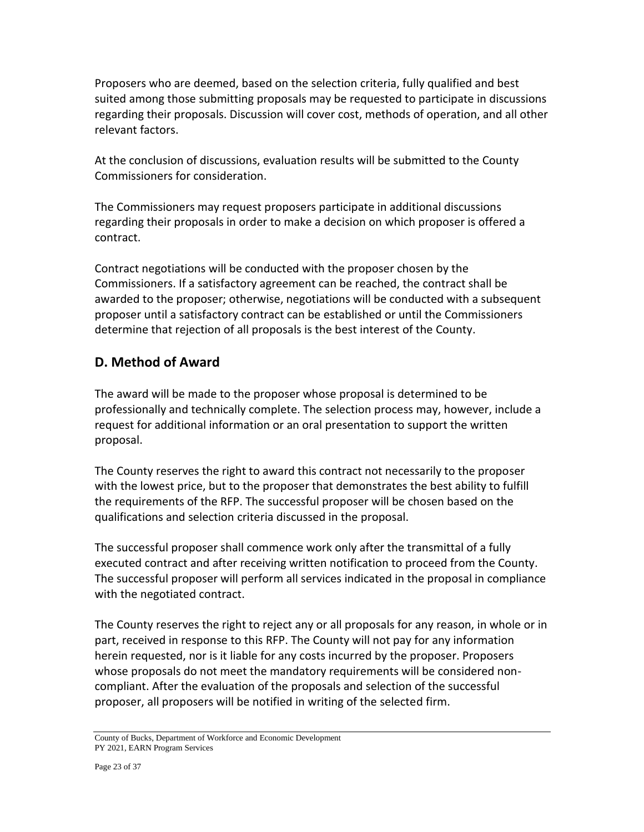Proposers who are deemed, based on the selection criteria, fully qualified and best suited among those submitting proposals may be requested to participate in discussions regarding their proposals. Discussion will cover cost, methods of operation, and all other relevant factors.

At the conclusion of discussions, evaluation results will be submitted to the County Commissioners for consideration.

The Commissioners may request proposers participate in additional discussions regarding their proposals in order to make a decision on which proposer is offered a contract.

Contract negotiations will be conducted with the proposer chosen by the Commissioners. If a satisfactory agreement can be reached, the contract shall be awarded to the proposer; otherwise, negotiations will be conducted with a subsequent proposer until a satisfactory contract can be established or until the Commissioners determine that rejection of all proposals is the best interest of the County.

### **D. Method of Award**

The award will be made to the proposer whose proposal is determined to be professionally and technically complete. The selection process may, however, include a request for additional information or an oral presentation to support the written proposal.

The County reserves the right to award this contract not necessarily to the proposer with the lowest price, but to the proposer that demonstrates the best ability to fulfill the requirements of the RFP. The successful proposer will be chosen based on the qualifications and selection criteria discussed in the proposal.

The successful proposer shall commence work only after the transmittal of a fully executed contract and after receiving written notification to proceed from the County. The successful proposer will perform all services indicated in the proposal in compliance with the negotiated contract.

The County reserves the right to reject any or all proposals for any reason, in whole or in part, received in response to this RFP. The County will not pay for any information herein requested, nor is it liable for any costs incurred by the proposer. Proposers whose proposals do not meet the mandatory requirements will be considered noncompliant. After the evaluation of the proposals and selection of the successful proposer, all proposers will be notified in writing of the selected firm.

County of Bucks, Department of Workforce and Economic Development PY 2021, EARN Program Services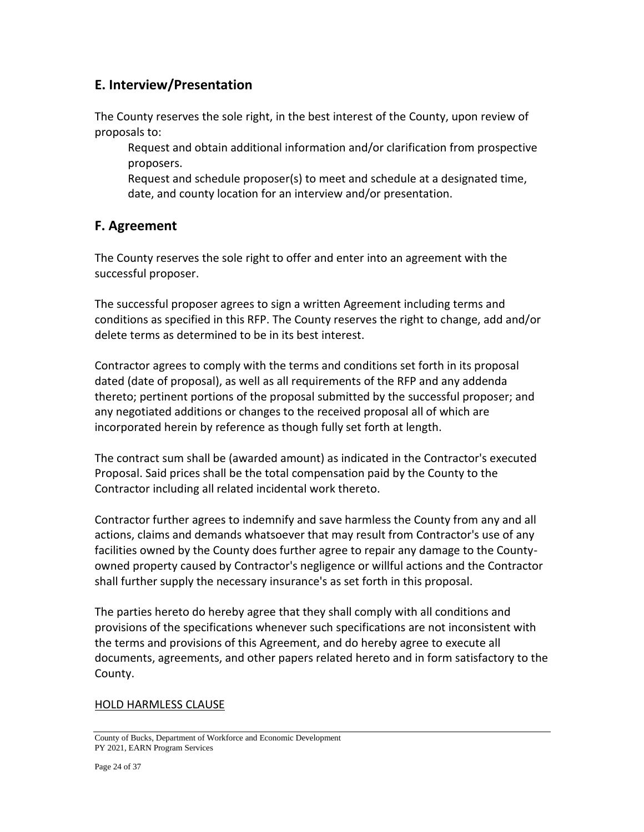### **E. Interview/Presentation**

The County reserves the sole right, in the best interest of the County, upon review of proposals to:

Request and obtain additional information and/or clarification from prospective proposers.

Request and schedule proposer(s) to meet and schedule at a designated time, date, and county location for an interview and/or presentation.

### **F. Agreement**

The County reserves the sole right to offer and enter into an agreement with the successful proposer.

The successful proposer agrees to sign a written Agreement including terms and conditions as specified in this RFP. The County reserves the right to change, add and/or delete terms as determined to be in its best interest.

Contractor agrees to comply with the terms and conditions set forth in its proposal dated (date of proposal), as well as all requirements of the RFP and any addenda thereto; pertinent portions of the proposal submitted by the successful proposer; and any negotiated additions or changes to the received proposal all of which are incorporated herein by reference as though fully set forth at length.

The contract sum shall be (awarded amount) as indicated in the Contractor's executed Proposal. Said prices shall be the total compensation paid by the County to the Contractor including all related incidental work thereto.

Contractor further agrees to indemnify and save harmless the County from any and all actions, claims and demands whatsoever that may result from Contractor's use of any facilities owned by the County does further agree to repair any damage to the Countyowned property caused by Contractor's negligence or willful actions and the Contractor shall further supply the necessary insurance's as set forth in this proposal.

The parties hereto do hereby agree that they shall comply with all conditions and provisions of the specifications whenever such specifications are not inconsistent with the terms and provisions of this Agreement, and do hereby agree to execute all documents, agreements, and other papers related hereto and in form satisfactory to the County.

### HOLD HARMLESS CLAUSE

County of Bucks, Department of Workforce and Economic Development PY 2021, EARN Program Services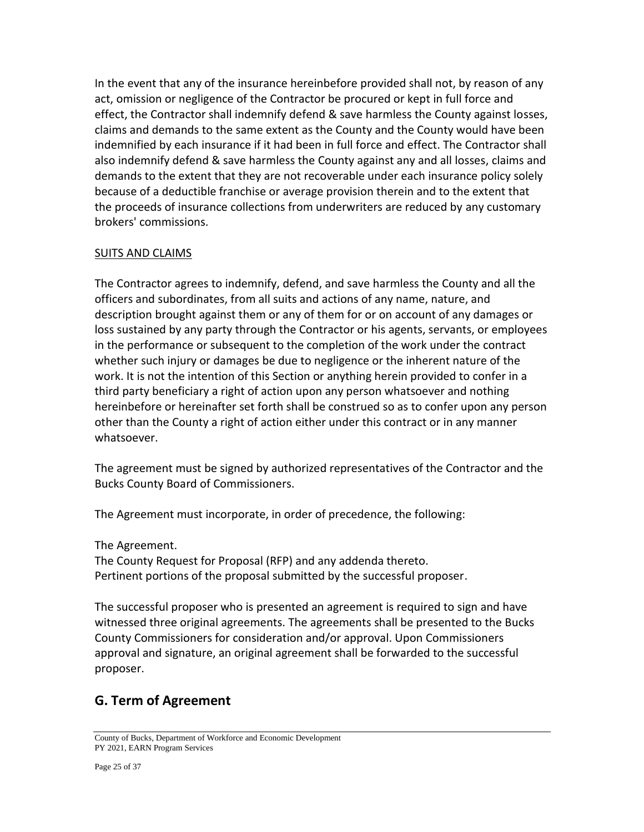In the event that any of the insurance hereinbefore provided shall not, by reason of any act, omission or negligence of the Contractor be procured or kept in full force and effect, the Contractor shall indemnify defend & save harmless the County against losses, claims and demands to the same extent as the County and the County would have been indemnified by each insurance if it had been in full force and effect. The Contractor shall also indemnify defend & save harmless the County against any and all losses, claims and demands to the extent that they are not recoverable under each insurance policy solely because of a deductible franchise or average provision therein and to the extent that the proceeds of insurance collections from underwriters are reduced by any customary brokers' commissions.

#### SUITS AND CLAIMS

The Contractor agrees to indemnify, defend, and save harmless the County and all the officers and subordinates, from all suits and actions of any name, nature, and description brought against them or any of them for or on account of any damages or loss sustained by any party through the Contractor or his agents, servants, or employees in the performance or subsequent to the completion of the work under the contract whether such injury or damages be due to negligence or the inherent nature of the work. It is not the intention of this Section or anything herein provided to confer in a third party beneficiary a right of action upon any person whatsoever and nothing hereinbefore or hereinafter set forth shall be construed so as to confer upon any person other than the County a right of action either under this contract or in any manner whatsoever.

The agreement must be signed by authorized representatives of the Contractor and the Bucks County Board of Commissioners.

The Agreement must incorporate, in order of precedence, the following:

The Agreement.

The County Request for Proposal (RFP) and any addenda thereto. Pertinent portions of the proposal submitted by the successful proposer.

The successful proposer who is presented an agreement is required to sign and have witnessed three original agreements. The agreements shall be presented to the Bucks County Commissioners for consideration and/or approval. Upon Commissioners approval and signature, an original agreement shall be forwarded to the successful proposer.

## **G. Term of Agreement**

County of Bucks, Department of Workforce and Economic Development PY 2021, EARN Program Services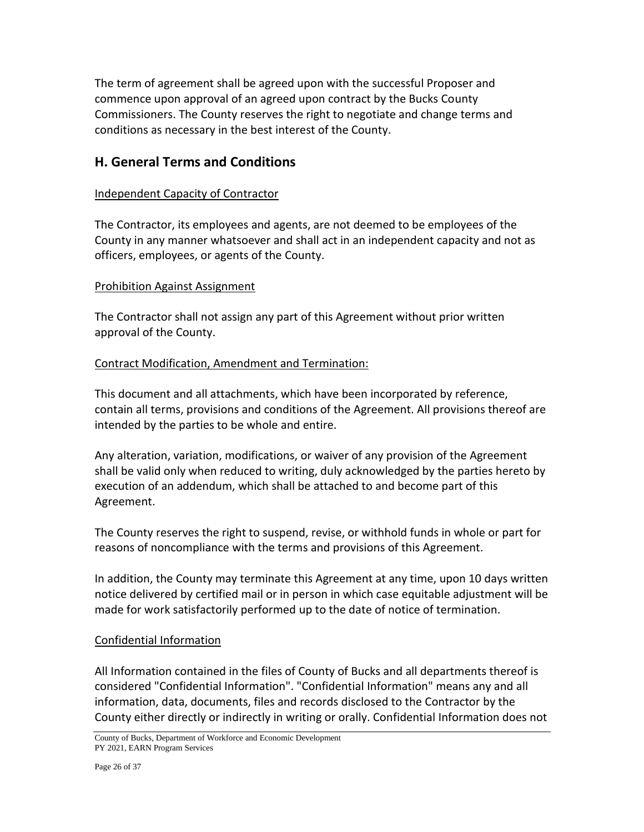The term of agreement shall be agreed upon with the successful Proposer and commence upon approval of an agreed upon contract by the Bucks County Commissioners. The County reserves the right to negotiate and change terms and conditions as necessary in the best interest of the County.

### **H. General Terms and Conditions**

#### Independent Capacity of Contractor

The Contractor, its employees and agents, are not deemed to be employees of the County in any manner whatsoever and shall act in an independent capacity and not as officers, employees, or agents of the County.

#### Prohibition Against Assignment

The Contractor shall not assign any part of this Agreement without prior written approval of the County.

#### Contract Modification, Amendment and Termination:

This document and all attachments, which have been incorporated by reference, contain all terms, provisions and conditions of the Agreement. All provisions thereof are intended by the parties to be whole and entire.

Any alteration, variation, modifications, or waiver of any provision of the Agreement shall be valid only when reduced to writing, duly acknowledged by the parties hereto by execution of an addendum, which shall be attached to and become part of this Agreement.

The County reserves the right to suspend, revise, or withhold funds in whole or part for reasons of noncompliance with the terms and provisions of this Agreement.

In addition, the County may terminate this Agreement at any time, upon 10 days written notice delivered by certified mail or in person in which case equitable adjustment will be made for work satisfactorily performed up to the date of notice of termination.

#### Confidential Information

All Information contained in the files of County of Bucks and all departments thereof is considered "Confidential Information". "Confidential Information" means any and all information, data, documents, files and records disclosed to the Contractor by the County either directly or indirectly in writing or orally. Confidential Information does not

County of Bucks, Department of Workforce and Economic Development PY 2021, EARN Program Services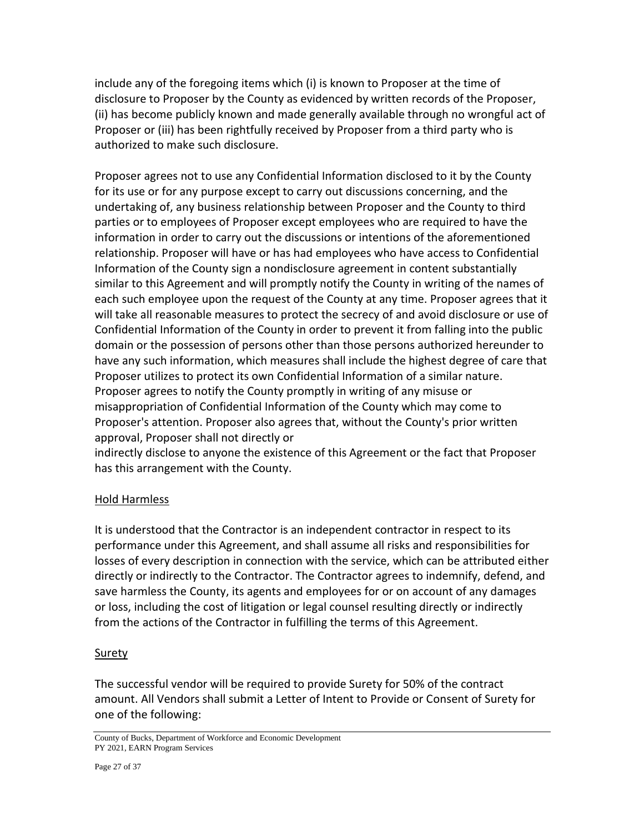include any of the foregoing items which (i) is known to Proposer at the time of disclosure to Proposer by the County as evidenced by written records of the Proposer, (ii) has become publicly known and made generally available through no wrongful act of Proposer or (iii) has been rightfully received by Proposer from a third party who is authorized to make such disclosure.

Proposer agrees not to use any Confidential Information disclosed to it by the County for its use or for any purpose except to carry out discussions concerning, and the undertaking of, any business relationship between Proposer and the County to third parties or to employees of Proposer except employees who are required to have the information in order to carry out the discussions or intentions of the aforementioned relationship. Proposer will have or has had employees who have access to Confidential Information of the County sign a nondisclosure agreement in content substantially similar to this Agreement and will promptly notify the County in writing of the names of each such employee upon the request of the County at any time. Proposer agrees that it will take all reasonable measures to protect the secrecy of and avoid disclosure or use of Confidential Information of the County in order to prevent it from falling into the public domain or the possession of persons other than those persons authorized hereunder to have any such information, which measures shall include the highest degree of care that Proposer utilizes to protect its own Confidential Information of a similar nature. Proposer agrees to notify the County promptly in writing of any misuse or misappropriation of Confidential Information of the County which may come to Proposer's attention. Proposer also agrees that, without the County's prior written approval, Proposer shall not directly or

indirectly disclose to anyone the existence of this Agreement or the fact that Proposer has this arrangement with the County.

### Hold Harmless

It is understood that the Contractor is an independent contractor in respect to its performance under this Agreement, and shall assume all risks and responsibilities for losses of every description in connection with the service, which can be attributed either directly or indirectly to the Contractor. The Contractor agrees to indemnify, defend, and save harmless the County, its agents and employees for or on account of any damages or loss, including the cost of litigation or legal counsel resulting directly or indirectly from the actions of the Contractor in fulfilling the terms of this Agreement.

#### **Surety**

The successful vendor will be required to provide Surety for 50% of the contract amount. All Vendors shall submit a Letter of Intent to Provide or Consent of Surety for one of the following:

County of Bucks, Department of Workforce and Economic Development PY 2021, EARN Program Services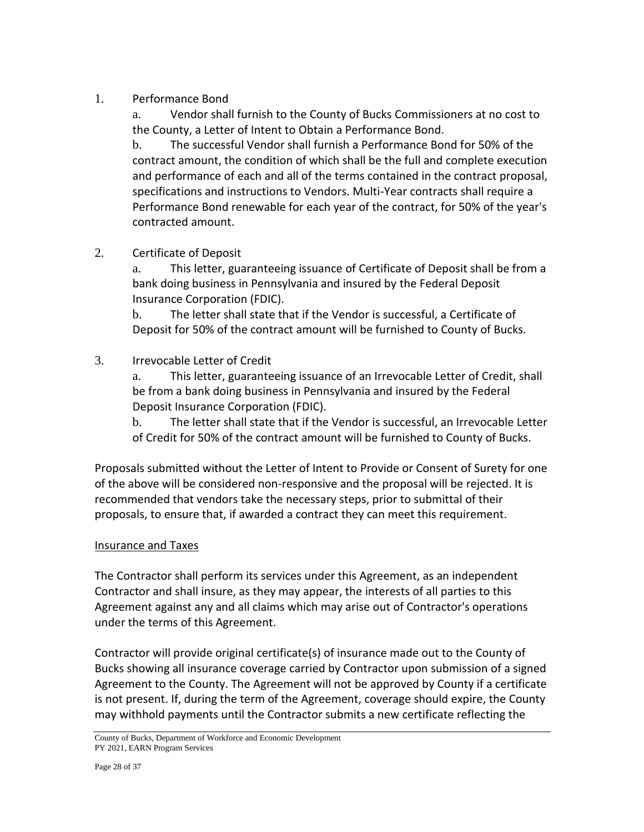### 1. Performance Bond

a. Vendor shall furnish to the County of Bucks Commissioners at no cost to the County, a Letter of Intent to Obtain a Performance Bond.

b. The successful Vendor shall furnish a Performance Bond for 50% of the contract amount, the condition of which shall be the full and complete execution and performance of each and all of the terms contained in the contract proposal, specifications and instructions to Vendors. Multi-Year contracts shall require a Performance Bond renewable for each year of the contract, for 50% of the year's contracted amount.

### 2. Certificate of Deposit

a. This letter, guaranteeing issuance of Certificate of Deposit shall be from a bank doing business in Pennsylvania and insured by the Federal Deposit Insurance Corporation (FDIC).

b. The letter shall state that if the Vendor is successful, a Certificate of Deposit for 50% of the contract amount will be furnished to County of Bucks.

### 3. Irrevocable Letter of Credit

a. This letter, guaranteeing issuance of an Irrevocable Letter of Credit, shall be from a bank doing business in Pennsylvania and insured by the Federal Deposit Insurance Corporation (FDIC).

b. The letter shall state that if the Vendor is successful, an Irrevocable Letter of Credit for 50% of the contract amount will be furnished to County of Bucks.

Proposals submitted without the Letter of Intent to Provide or Consent of Surety for one of the above will be considered non-responsive and the proposal will be rejected. It is recommended that vendors take the necessary steps, prior to submittal of their proposals, to ensure that, if awarded a contract they can meet this requirement.

### Insurance and Taxes

The Contractor shall perform its services under this Agreement, as an independent Contractor and shall insure, as they may appear, the interests of all parties to this Agreement against any and all claims which may arise out of Contractor's operations under the terms of this Agreement.

Contractor will provide original certificate(s) of insurance made out to the County of Bucks showing all insurance coverage carried by Contractor upon submission of a signed Agreement to the County. The Agreement will not be approved by County if a certificate is not present. If, during the term of the Agreement, coverage should expire, the County may withhold payments until the Contractor submits a new certificate reflecting the

County of Bucks, Department of Workforce and Economic Development PY 2021, EARN Program Services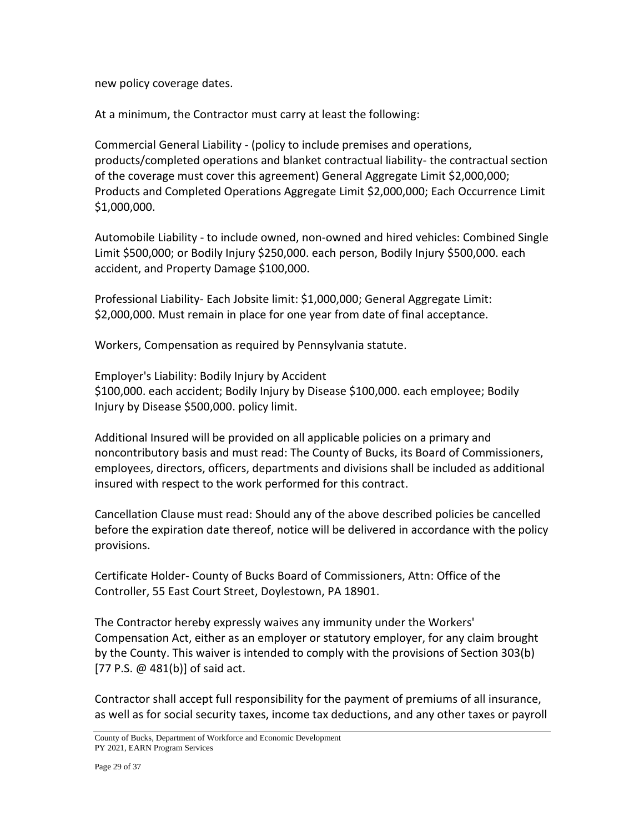new policy coverage dates.

At a minimum, the Contractor must carry at least the following:

Commercial General Liability - (policy to include premises and operations, products/completed operations and blanket contractual liability- the contractual section of the coverage must cover this agreement) General Aggregate Limit \$2,000,000; Products and Completed Operations Aggregate Limit \$2,000,000; Each Occurrence Limit \$1,000,000.

Automobile Liability - to include owned, non-owned and hired vehicles: Combined Single Limit \$500,000; or Bodily Injury \$250,000. each person, Bodily Injury \$500,000. each accident, and Property Damage \$100,000.

Professional Liability- Each Jobsite limit: \$1,000,000; General Aggregate Limit: \$2,000,000. Must remain in place for one year from date of final acceptance.

Workers, Compensation as required by Pennsylvania statute.

Employer's Liability: Bodily Injury by Accident \$100,000. each accident; Bodily Injury by Disease \$100,000. each employee; Bodily Injury by Disease \$500,000. policy limit.

Additional Insured will be provided on all applicable policies on a primary and noncontributory basis and must read: The County of Bucks, its Board of Commissioners, employees, directors, officers, departments and divisions shall be included as additional insured with respect to the work performed for this contract.

Cancellation Clause must read: Should any of the above described policies be cancelled before the expiration date thereof, notice will be delivered in accordance with the policy provisions.

Certificate Holder- County of Bucks Board of Commissioners, Attn: Office of the Controller, 55 East Court Street, Doylestown, PA 18901.

The Contractor hereby expressly waives any immunity under the Workers' Compensation Act, either as an employer or statutory employer, for any claim brought by the County. This waiver is intended to comply with the provisions of Section 303(b) [77 P.S. @ 481(b)] of said act.

Contractor shall accept full responsibility for the payment of premiums of all insurance, as well as for social security taxes, income tax deductions, and any other taxes or payroll

County of Bucks, Department of Workforce and Economic Development PY 2021, EARN Program Services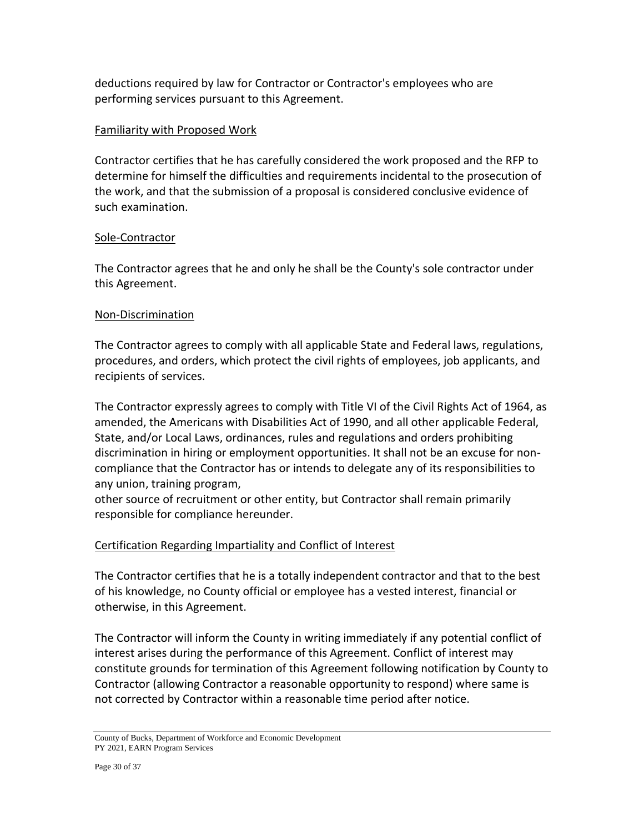deductions required by law for Contractor or Contractor's employees who are performing services pursuant to this Agreement.

#### Familiarity with Proposed Work

Contractor certifies that he has carefully considered the work proposed and the RFP to determine for himself the difficulties and requirements incidental to the prosecution of the work, and that the submission of a proposal is considered conclusive evidence of such examination.

#### Sole-Contractor

The Contractor agrees that he and only he shall be the County's sole contractor under this Agreement.

#### Non-Discrimination

The Contractor agrees to comply with all applicable State and Federal laws, regulations, procedures, and orders, which protect the civil rights of employees, job applicants, and recipients of services.

The Contractor expressly agrees to comply with Title VI of the Civil Rights Act of 1964, as amended, the Americans with Disabilities Act of 1990, and all other applicable Federal, State, and/or Local Laws, ordinances, rules and regulations and orders prohibiting discrimination in hiring or employment opportunities. It shall not be an excuse for noncompliance that the Contractor has or intends to delegate any of its responsibilities to any union, training program,

other source of recruitment or other entity, but Contractor shall remain primarily responsible for compliance hereunder.

### Certification Regarding Impartiality and Conflict of Interest

The Contractor certifies that he is a totally independent contractor and that to the best of his knowledge, no County official or employee has a vested interest, financial or otherwise, in this Agreement.

The Contractor will inform the County in writing immediately if any potential conflict of interest arises during the performance of this Agreement. Conflict of interest may constitute grounds for termination of this Agreement following notification by County to Contractor (allowing Contractor a reasonable opportunity to respond) where same is not corrected by Contractor within a reasonable time period after notice.

County of Bucks, Department of Workforce and Economic Development PY 2021, EARN Program Services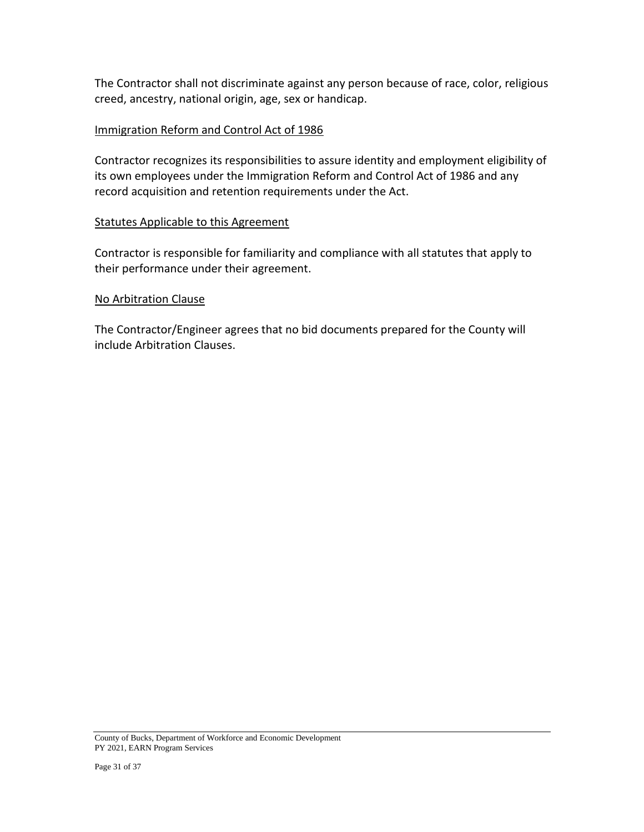The Contractor shall not discriminate against any person because of race, color, religious creed, ancestry, national origin, age, sex or handicap.

#### Immigration Reform and Control Act of 1986

Contractor recognizes its responsibilities to assure identity and employment eligibility of its own employees under the Immigration Reform and Control Act of 1986 and any record acquisition and retention requirements under the Act.

#### Statutes Applicable to this Agreement

Contractor is responsible for familiarity and compliance with all statutes that apply to their performance under their agreement.

#### No Arbitration Clause

The Contractor/Engineer agrees that no bid documents prepared for the County will include Arbitration Clauses.

County of Bucks, Department of Workforce and Economic Development PY 2021, EARN Program Services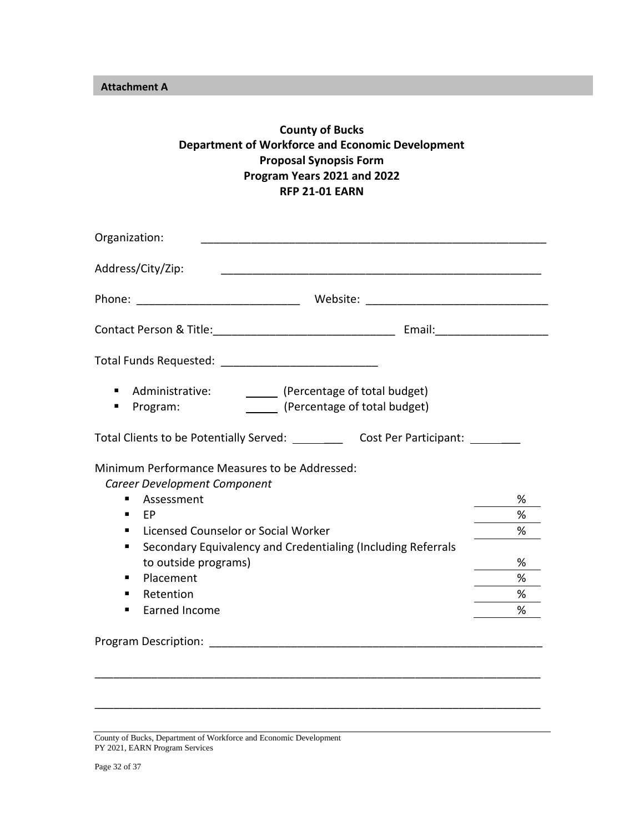**Attachment A**

### **County of Bucks Department of Workforce and Economic Development Proposal Synopsis Form Program Years 2021 and 2022 RFP 21-01 EARN**

| Organization:                                                                                                                                                                                                                  |   |
|--------------------------------------------------------------------------------------------------------------------------------------------------------------------------------------------------------------------------------|---|
| Address/City/Zip:                                                                                                                                                                                                              |   |
|                                                                                                                                                                                                                                |   |
|                                                                                                                                                                                                                                |   |
|                                                                                                                                                                                                                                |   |
| Administrative:<br>(Percentage of total budget)<br>٠<br>(Percentage of total budget)<br>Program:                                                                                                                               |   |
| Total Clients to be Potentially Served: ____________ Cost Per Participant: ______                                                                                                                                              |   |
| Minimum Performance Measures to be Addressed:<br>Career Development Component                                                                                                                                                  |   |
| Assessment<br>٠                                                                                                                                                                                                                | % |
| FP                                                                                                                                                                                                                             | % |
| Licensed Counselor or Social Worker<br>٠                                                                                                                                                                                       | % |
| Secondary Equivalency and Credentialing (Including Referrals<br>п                                                                                                                                                              |   |
| to outside programs)                                                                                                                                                                                                           | % |
| Placement<br>٠                                                                                                                                                                                                                 | % |
| Retention                                                                                                                                                                                                                      | % |
| Earned Income<br>٠                                                                                                                                                                                                             | % |
| Program Description: The contract of the contract of the contract of the contract of the contract of the contract of the contract of the contract of the contract of the contract of the contract of the contract of the contr |   |
|                                                                                                                                                                                                                                |   |

\_\_\_\_\_\_\_\_\_\_\_\_\_\_\_\_\_\_\_\_\_\_\_\_\_\_\_\_\_\_\_\_\_\_\_\_\_\_\_\_\_\_\_\_\_\_\_\_\_\_\_\_\_\_\_\_\_\_\_\_\_\_\_\_\_\_\_\_\_\_\_

County of Bucks, Department of Workforce and Economic Development PY 2021, EARN Program Services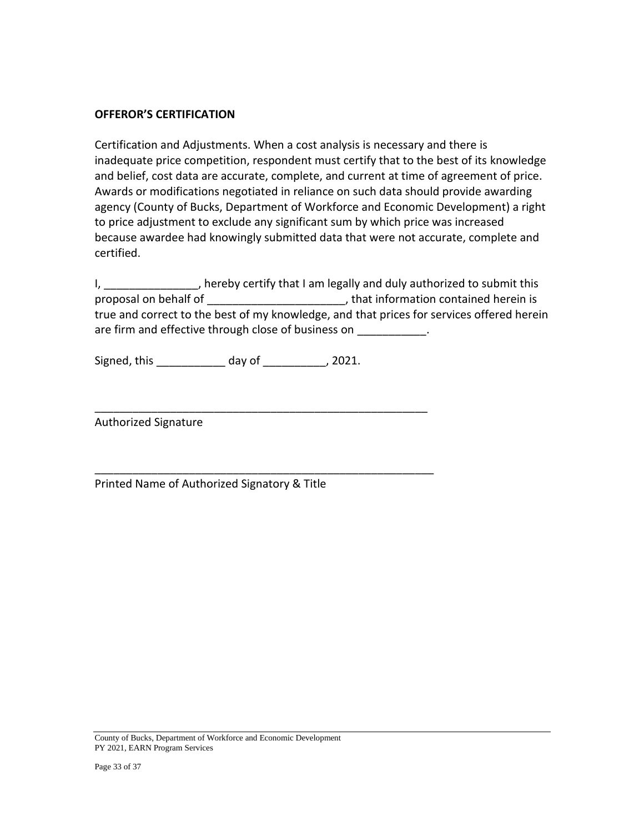#### **OFFEROR'S CERTIFICATION**

Certification and Adjustments. When a cost analysis is necessary and there is inadequate price competition, respondent must certify that to the best of its knowledge and belief, cost data are accurate, complete, and current at time of agreement of price. Awards or modifications negotiated in reliance on such data should provide awarding agency (County of Bucks, Department of Workforce and Economic Development) a right to price adjustment to exclude any significant sum by which price was increased because awardee had knowingly submitted data that were not accurate, complete and certified.

I, \_\_\_\_\_\_\_\_\_\_\_\_\_\_\_, hereby certify that I am legally and duly authorized to submit this proposal on behalf of \_\_\_\_\_\_\_\_\_\_\_\_\_\_\_\_\_\_\_\_\_\_\_\_, that information contained herein is true and correct to the best of my knowledge, and that prices for services offered herein are firm and effective through close of business on \_\_\_\_\_\_\_\_\_\_\_\_.

Signed, this \_\_\_\_\_\_\_\_\_\_\_ day of \_\_\_\_\_\_\_\_\_\_, 2021.

\_\_\_\_\_\_\_\_\_\_\_\_\_\_\_\_\_\_\_\_\_\_\_\_\_\_\_\_\_\_\_\_\_\_\_\_\_\_\_\_\_\_\_\_\_\_\_\_\_\_\_\_\_

\_\_\_\_\_\_\_\_\_\_\_\_\_\_\_\_\_\_\_\_\_\_\_\_\_\_\_\_\_\_\_\_\_\_\_\_\_\_\_\_\_\_\_\_\_\_\_\_\_\_\_\_\_\_

Authorized Signature

Printed Name of Authorized Signatory & Title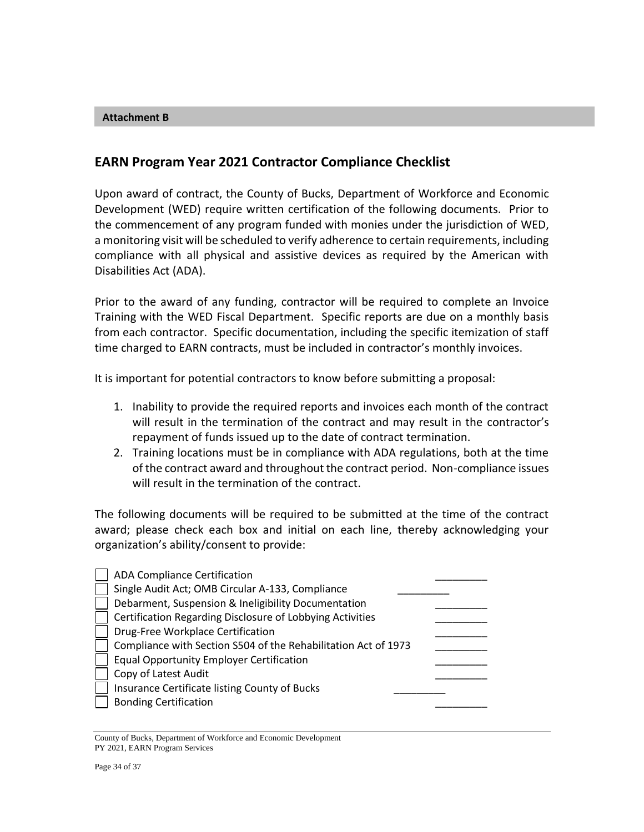#### **Attachment B**

### **EARN Program Year 2021 Contractor Compliance Checklist**

Upon award of contract, the County of Bucks, Department of Workforce and Economic Development (WED) require written certification of the following documents. Prior to the commencement of any program funded with monies under the jurisdiction of WED, a monitoring visit will be scheduled to verify adherence to certain requirements, including compliance with all physical and assistive devices as required by the American with Disabilities Act (ADA).

Prior to the award of any funding, contractor will be required to complete an Invoice Training with the WED Fiscal Department. Specific reports are due on a monthly basis from each contractor. Specific documentation, including the specific itemization of staff time charged to EARN contracts, must be included in contractor's monthly invoices.

It is important for potential contractors to know before submitting a proposal:

- 1. Inability to provide the required reports and invoices each month of the contract will result in the termination of the contract and may result in the contractor's repayment of funds issued up to the date of contract termination.
- 2. Training locations must be in compliance with ADA regulations, both at the time of the contract award and throughout the contract period. Non-compliance issues will result in the termination of the contract.

The following documents will be required to be submitted at the time of the contract award; please check each box and initial on each line, thereby acknowledging your organization's ability/consent to provide:

| <b>ADA Compliance Certification</b>                            |
|----------------------------------------------------------------|
| Single Audit Act; OMB Circular A-133, Compliance               |
| Debarment, Suspension & Ineligibility Documentation            |
| Certification Regarding Disclosure of Lobbying Activities      |
| Drug-Free Workplace Certification                              |
| Compliance with Section S504 of the Rehabilitation Act of 1973 |
| <b>Equal Opportunity Employer Certification</b>                |
| Copy of Latest Audit                                           |
| Insurance Certificate listing County of Bucks                  |
| <b>Bonding Certification</b>                                   |
|                                                                |

County of Bucks, Department of Workforce and Economic Development PY 2021, EARN Program Services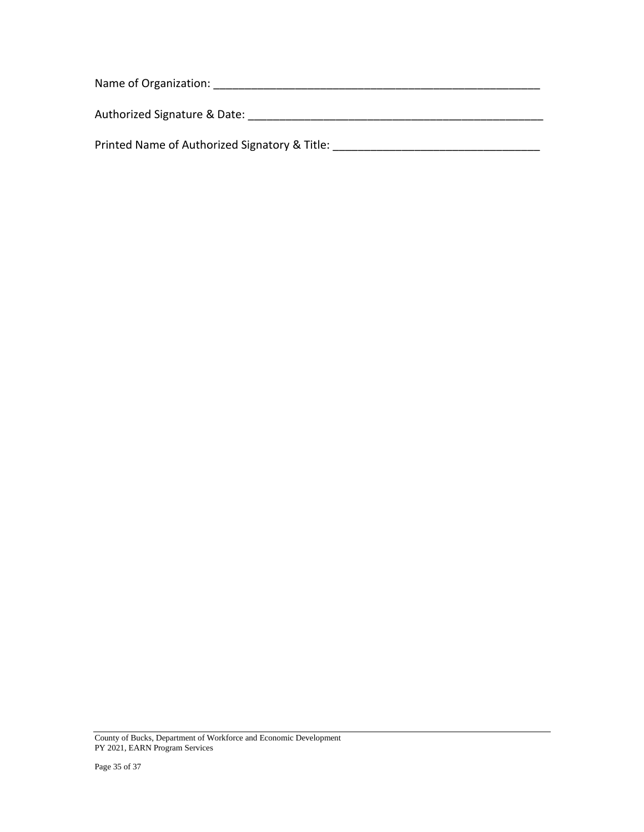| Name of Organization:                         |  |
|-----------------------------------------------|--|
| Authorized Signature & Date:                  |  |
| Printed Name of Authorized Signatory & Title: |  |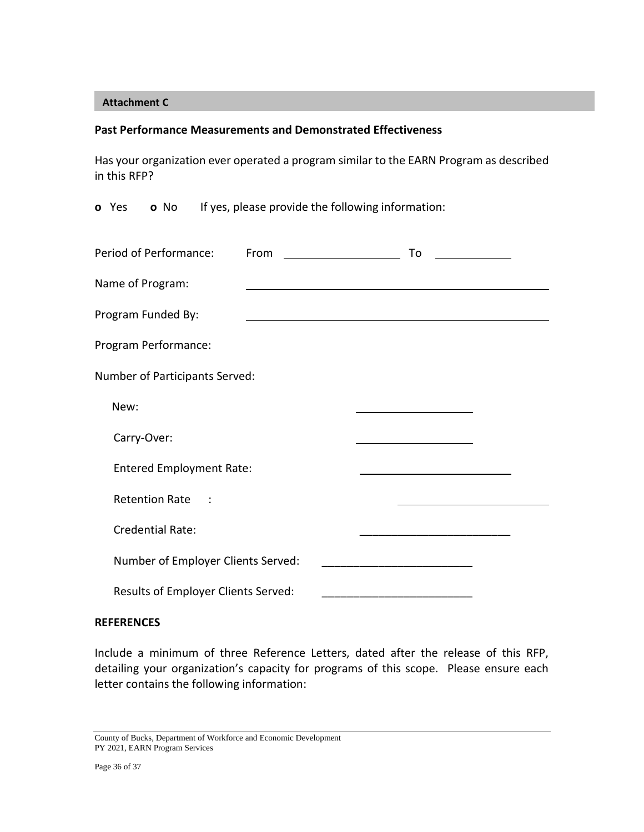#### **Attachment C**

#### **Past Performance Measurements and Demonstrated Effectiveness**

Has your organization ever operated a program similar to the EARN Program as described in this RFP?

**o** Yes **o** No If yes, please provide the following information:

| Period of Performance:              | From | To |  |
|-------------------------------------|------|----|--|
| Name of Program:                    |      |    |  |
| Program Funded By:                  |      |    |  |
| Program Performance:                |      |    |  |
| Number of Participants Served:      |      |    |  |
| New:                                |      |    |  |
| Carry-Over:                         |      |    |  |
| <b>Entered Employment Rate:</b>     |      |    |  |
| Retention Rate :                    |      |    |  |
| <b>Credential Rate:</b>             |      |    |  |
| Number of Employer Clients Served:  |      |    |  |
| Results of Employer Clients Served: |      |    |  |

#### **REFERENCES**

Include a minimum of three Reference Letters, dated after the release of this RFP, detailing your organization's capacity for programs of this scope. Please ensure each letter contains the following information:

County of Bucks, Department of Workforce and Economic Development PY 2021, EARN Program Services